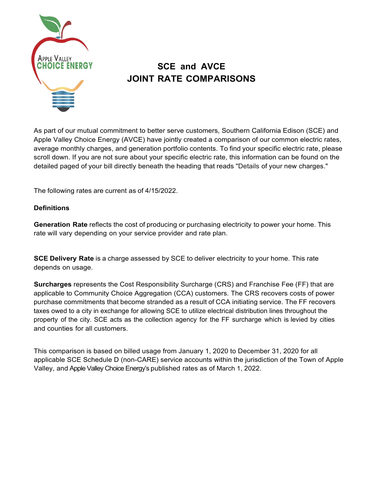

# **SCE and AVCE JOINT RATE COMPARISONS**

As part of our mutual commitment to better serve customers, Southern California Edison (SCE) and Apple Valley Choice Energy (AVCE) have jointly created a comparison of our common electric rates, average monthly charges, and generation portfolio contents. To find your specific electric rate, please scroll down. If you are not sure about your specific electric rate, this information can be found on the detailed paged of your bill directly beneath the heading that reads "Details of your new charges."

The following rates are current as of 4/15/2022.

# **Definitions**

**Generation Rate** reflects the cost of producing or purchasing electricity to power your home. This rate will vary depending on your service provider and rate plan.

**SCE Delivery Rate** is a charge assessed by SCE to deliver electricity to your home. This rate depends on usage.

**Surcharges** represents the Cost Responsibility Surcharge (CRS) and Franchise Fee (FF) that are applicable to Community Choice Aggregation (CCA) customers. The CRS recovers costs of power purchase commitments that become stranded as a result of CCA initiating service. The FF recovers taxes owed to a city in exchange for allowing SCE to utilize electrical distribution lines throughout the property of the city. SCE acts as the collection agency for the FF surcharge which is levied by cities and counties for all customers.

This comparison is based on billed usage from January 1, 2020 to December 31, 2020 for all applicable SCE Schedule D (non-CARE) service accounts within the jurisdiction of the Town of Apple Valley, and Apple Valley Choice Energy's published rates as of March 1, 2022.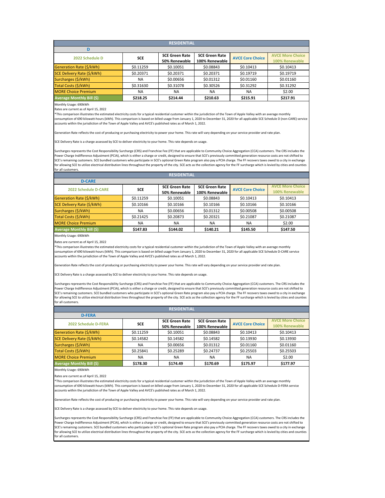Rates are current as of April 15, 2022

| <b>RESIDENTIAL</b>               |            |                       |                       |                         |                         |  |  |  |
|----------------------------------|------------|-----------------------|-----------------------|-------------------------|-------------------------|--|--|--|
|                                  |            |                       |                       |                         |                         |  |  |  |
| 2022 Schedule D                  | <b>SCE</b> | <b>SCE Green Rate</b> | <b>SCE Green Rate</b> | <b>AVCE Core Choice</b> | <b>AVCE More Choice</b> |  |  |  |
|                                  |            | 50% Renewable         | 100% Renewable        |                         | 100% Renewable          |  |  |  |
| Generation Rate (\$/kWh)         | \$0.11259  | \$0.10051             | \$0.08843             | \$0.10413               | \$0.10413               |  |  |  |
| SCE Delivery Rate (\$/kWh)       | \$0.20371  | \$0.20371             | \$0.20371             | \$0.19719               | \$0.19719               |  |  |  |
| Surcharges (\$/kWh)              | <b>NA</b>  | \$0.00656             | \$0.01312             | \$0.01160               | \$0.01160               |  |  |  |
| Total Costs (\$/kWh)             | \$0.31630  | \$0.31078             | \$0.30526             | \$0.31292               | \$0.31292               |  |  |  |
| <b>MORE Choice Premium</b>       | <b>NA</b>  | NA.                   | <b>NA</b>             | NA.                     | \$2.00                  |  |  |  |
| <b>Average Monthly Bill (\$)</b> | \$218.25   | \$214.44              | \$210.63              | \$215.91                | \$217.91                |  |  |  |

Monthly Usage: 690kWh

Rates are current as of April 15, 2022

Monthly Usage: 690kWh

Rates are current as of April 15, 2022

| <b>RESIDENTIAL</b>               |            |                       |                       |                         |                         |  |  |  |
|----------------------------------|------------|-----------------------|-----------------------|-------------------------|-------------------------|--|--|--|
| <b>D-CARE</b>                    |            |                       |                       |                         |                         |  |  |  |
| <b>2022 Schedule D-CARE</b>      | <b>SCE</b> | <b>SCE Green Rate</b> | <b>SCE Green Rate</b> | <b>AVCE Core Choice</b> | <b>AVCE More Choice</b> |  |  |  |
|                                  |            | 50% Renewable         | 100% Renewable        |                         | 100% Renewable          |  |  |  |
| Generation Rate (\$/kWh)         | \$0.11259  | \$0.10051             | \$0.08843             | \$0.10413               | \$0.10413               |  |  |  |
| SCE Delivery Rate (\$/kWh)       | \$0.10166  | \$0.10166             | \$0.10166             | \$0.10166               | \$0.10166               |  |  |  |
| Surcharges (\$/kWh)              | <b>NA</b>  | \$0.00656             | \$0.01312             | \$0.00508               | \$0.00508               |  |  |  |
| Total Costs (\$/kWh)             | \$0.21425  | \$0.20873             | \$0.20321             | \$0.21087               | \$0.21087               |  |  |  |
| <b>MORE Choice Premium</b>       | <b>NA</b>  | <b>NA</b>             | <b>NA</b>             | <b>NA</b>               | \$2.00                  |  |  |  |
| <b>Average Monthly Bill (\$)</b> | \$147.83   | \$144.02              | \$140.21              | \$145.50                | \$147.50                |  |  |  |

\*This comparison illustrates the estimated electricity costs for a typical residential customer within the jurisdiction of the Town of Apple Valley with an average monthly consumption of 690 kilowatt-hours (kWh). This comparison is based on billed usage from January 1, 2020 to December 31, 2020 for all applicable SCE Schedule D (non-CARE) service accounts within the jurisdiction of the Town of Apple Valley and AVCE's published rates as of March 1, 2022.

Generation Rate reflects the cost of producing or purchasing electricity to power your home. This rate will vary depending on your service provider and rate plan.

SCE Delivery Rate is a charge assessed by SCE to deliver electricity to your home. This rate depends on usage.

Surcharges represents the Cost Responsibility Surcharge (CRS) and Franchise Fee (FF) that are applicable to Community Choice Aggregation (CCA) customers. The CRS includes the Power Charge Indifference Adjustment (PCIA), which is either a charge or credit, designed to ensure that SCE's previously committed generation resource costs are not shifted to SCE's remaining customers. SCE bundled customers who participate in SCE's optional Green Rate program also pay a PCIA charge. The FF recovers taxes owed to a city in exchange for allowing SCE to utilize electrical distribution lines throughout the property of the city. SCE acts as the collection agency for the FF surcharge which is levied by cities and counties for all customers.

| <b>RESIDENTIAL</b>         |            |                       |                       |                         |                         |  |  |  |
|----------------------------|------------|-----------------------|-----------------------|-------------------------|-------------------------|--|--|--|
| <b>D-FERA</b>              |            |                       |                       |                         |                         |  |  |  |
| 2022 Schedule D-FERA       | <b>SCE</b> | <b>SCE Green Rate</b> | <b>SCE Green Rate</b> | <b>AVCE Core Choice</b> | <b>AVCE More Choice</b> |  |  |  |
|                            |            | 50% Renewable         | 100% Renewable        |                         | 100% Renewable          |  |  |  |
| Generation Rate (\$/kWh)   | \$0.11259  | \$0.10051             | \$0.08843             | \$0.10413               | \$0.10413               |  |  |  |
| SCE Delivery Rate (\$/kWh) | \$0.14582  | \$0.14582             | \$0.14582             | \$0.13930               | \$0.13930               |  |  |  |
| Surcharges (\$/kWh)        | <b>NA</b>  | \$0.00656             | \$0.01312             | \$0.01160               | \$0.01160               |  |  |  |
| Total Costs (\$/kWh)       | \$0.25841  | \$0.25289             | \$0.24737             | \$0.25503               | \$0.25503               |  |  |  |
| <b>MORE Choice Premium</b> | <b>NA</b>  | <b>NA</b>             | <b>NA</b>             | <b>NA</b>               | \$2.00                  |  |  |  |
| Average Monthly Bill (\$)  | \$178.30   | \$174.49              | \$170.69              | \$175.97                | \$177.97                |  |  |  |

\*This comparison illustrates the estimated electricity costs for a typical residential customer within the jurisdiction of the Town of Apple Valley with an average monthly consumption of 690 kilowatt-hours (kWh). This comparison is based on billed usage from January 1, 2020 to December 31, 2020 for all applicable SCE Schedule D-CARE service accounts within the jurisdiction of the Town of Apple Valley and AVCE's published rates as of March 1, 2022.

Generation Rate reflects the cost of producing or purchasing electricity to power your home. This rate will vary depending on your service provider and rate plan.

SCE Delivery Rate is a charge assessed by SCE to deliver electricity to your home. This rate depends on usage.

Surcharges represents the Cost Responsibility Surcharge (CRS) and Franchise Fee (FF) that are applicable to Community Choice Aggregation (CCA) customers. The CRS includes the Power Charge Indifference Adjustment (PCIA), which is either a charge or credit, designed to ensure that SCE's previously committed generation resource costs are not shifted to SCE's remaining customers. SCE bundled customers who participate in SCE's optional Green Rate program also pay a PCIA charge. The FF recovers taxes owed to a city in exchange for allowing SCE to utilize electrical distribution lines throughout the property of the city. SCE acts as the collection agency for the FF surcharge which is levied by cities and counties for all customers.

\*This comparison illustrates the estimated electricity costs for a typical residential customer within the jurisdiction of the Town of Apple Valley with an average monthly consumption of 690 kilowatt-hours (kWh). This comparison is based on billed usage from January 1, 2020 to December 31, 2020 for all applicable SCE Schedule D-FERA service

accounts within the jurisdiction of the Town of Apple Valley and AVCE's published rates as of March 1, 2022.

Generation Rate reflects the cost of producing or purchasing electricity to power your home. This rate will vary depending on your service provider and rate plan.

SCE Delivery Rate is a charge assessed by SCE to deliver electricity to your home. This rate depends on usage.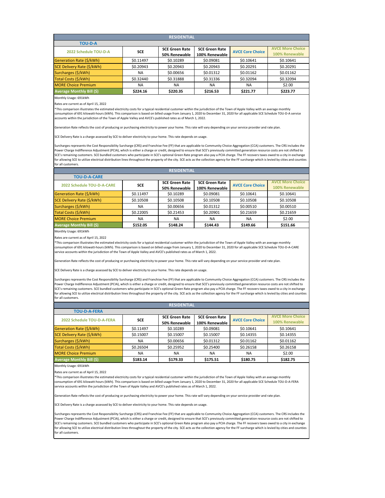Rates are current as of April 15, 2022

| <b>RESIDENTIAL</b>               |            |                       |                       |                         |                         |  |  |
|----------------------------------|------------|-----------------------|-----------------------|-------------------------|-------------------------|--|--|
| <b>TOU-D-A</b>                   |            |                       |                       |                         |                         |  |  |
| 2022 Schedule TOU-D-A            | <b>SCE</b> | <b>SCE Green Rate</b> | <b>SCE Green Rate</b> | <b>AVCE Core Choice</b> | <b>AVCE More Choice</b> |  |  |
|                                  |            | 50% Renewable         | 100% Renewable        |                         | 100% Renewable          |  |  |
| Generation Rate (\$/kWh)         | \$0.11497  | \$0.10289             | \$0.09081             | \$0.10641               | \$0.10641               |  |  |
| SCE Delivery Rate (\$/kWh)       | \$0.20943  | \$0.20943             | \$0.20943             | \$0.20291               | \$0.20291               |  |  |
| Surcharges (\$/kWh)              | <b>NA</b>  | \$0.00656             | \$0.01312             | \$0.01162               | \$0.01162               |  |  |
| Total Costs (\$/kWh)             | \$0.32440  | \$0.31888             | \$0.31336             | \$0.32094               | \$0.32094               |  |  |
| <b>MORE Choice Premium</b>       | <b>NA</b>  | <b>NA</b>             | <b>NA</b>             | <b>NA</b>               | \$2.00                  |  |  |
| <b>Average Monthly Bill (\$)</b> | \$224.16   | \$220.35              | \$216.53              | \$221.77                | \$223.77                |  |  |

Monthly Usage: 691kWh

Rates are current as of April 15, 2022

Monthly Usage: 691kWh

Rates are current as of April 15, 2022

| <b>RESIDENTIAL</b> |                       |                       |                         |                                           |  |  |  |  |
|--------------------|-----------------------|-----------------------|-------------------------|-------------------------------------------|--|--|--|--|
|                    |                       |                       |                         |                                           |  |  |  |  |
| <b>SCE</b>         | <b>SCE Green Rate</b> | <b>SCE Green Rate</b> | <b>AVCE Core Choice</b> | <b>AVCE More Choice</b><br>100% Renewable |  |  |  |  |
| \$0.11497          | \$0.10289             | \$0.09081             | \$0.10641               | \$0.10641                                 |  |  |  |  |
| \$0.10508          | \$0.10508             | \$0.10508             | \$0.10508               | \$0.10508                                 |  |  |  |  |
| <b>NA</b>          | \$0.00656             | \$0.01312             | \$0.00510               | \$0.00510                                 |  |  |  |  |
| \$0.22005          | \$0.21453             | \$0.20901             | \$0.21659               | \$0.21659                                 |  |  |  |  |
| <b>NA</b>          | <b>NA</b>             | <b>NA</b>             | <b>NA</b>               | \$2.00                                    |  |  |  |  |
| \$152.05           | \$148.24              | \$144.43              | \$149.66                | \$151.66                                  |  |  |  |  |
|                    |                       | 50% Renewable         | 100% Renewable          |                                           |  |  |  |  |

\*This comparison illustrates the estimated electricity costs for a typical residential customer within the jurisdiction of the Town of Apple Valley with an average monthly consumption of 691 kilowatt-hours (kWh). This comparison is based on billed usage from January 1, 2020 to December 31, 2020 for all applicable SCE Schedule TOU-D-A service accounts within the jurisdiction of the Town of Apple Valley and AVCE's published rates as of March 1, 2022.

Generation Rate reflects the cost of producing or purchasing electricity to power your home. This rate will vary depending on your service provider and rate plan.

SCE Delivery Rate is a charge assessed by SCE to deliver electricity to your home. This rate depends on usage.

Surcharges represents the Cost Responsibility Surcharge (CRS) and Franchise Fee (FF) that are applicable to Community Choice Aggregation (CCA) customers. The CRS includes the Power Charge Indifference Adjustment (PCIA), which is either a charge or credit, designed to ensure that SCE's previously committed generation resource costs are not shifted to SCE's remaining customers. SCE bundled customers who participate in SCE's optional Green Rate program also pay a PCIA charge. The FF recovers taxes owed to a city in exchange for allowing SCE to utilize electrical distribution lines throughout the property of the city. SCE acts as the collection agency for the FF surcharge which is levied by cities and counties for all customers.

| <b>RESIDENTIAL</b>               |                                 |                       |                       |                         |                         |  |  |
|----------------------------------|---------------------------------|-----------------------|-----------------------|-------------------------|-------------------------|--|--|
| <b>TOU-D-A-FERA</b>              |                                 |                       |                       |                         |                         |  |  |
| 2022 Schedule TOU-D-A-FERA       | <b>SCE</b>                      | <b>SCE Green Rate</b> | <b>SCE Green Rate</b> | <b>AVCE Core Choice</b> | <b>AVCE More Choice</b> |  |  |
|                                  | 100% Renewable<br>50% Renewable |                       | 100% Renewable        |                         |                         |  |  |
| Generation Rate (\$/kWh)         | \$0.11497                       | \$0.10289             | \$0.09081             | \$0.10641               | \$0.10641               |  |  |
| SCE Delivery Rate (\$/kWh)       | \$0.15007                       | \$0.15007             | \$0.15007             | \$0.14355               | \$0.14355               |  |  |
| Surcharges (\$/kWh)              | <b>NA</b>                       | \$0.00656             | \$0.01312             | \$0.01162               | \$0.01162               |  |  |
| Total Costs (\$/kWh)             | \$0.26504                       | \$0.25952             | \$0.25400             | \$0.26158               | \$0.26158               |  |  |
| <b>MORE Choice Premium</b>       | <b>NA</b>                       | <b>NA</b>             | <b>NA</b>             | <b>NA</b>               | \$2.00                  |  |  |
| <b>Average Monthly Bill (\$)</b> | \$183.14                        | \$179.33              | \$175.51              | \$180.75                | \$182.75                |  |  |

\*This comparison illustrates the estimated electricity costs for a typical residential customer within the jurisdiction of the Town of Apple Valley with an average monthly consumption of 691 kilowatt-hours (kWh). This comparison is based on billed usage from January 1, 2020 to December 31, 2020 for all applicable SCE Schedule TOU-D-A-CARE service accounts within the jurisdiction of the Town of Apple Valley and AVCE's published rates as of March 1, 2022.

Generation Rate reflects the cost of producing or purchasing electricity to power your home. This rate will vary depending on your service provider and rate plan.

SCE Delivery Rate is a charge assessed by SCE to deliver electricity to your home. This rate depends on usage.

Surcharges represents the Cost Responsibility Surcharge (CRS) and Franchise Fee (FF) that are applicable to Community Choice Aggregation (CCA) customers. The CRS includes the Power Charge Indifference Adjustment (PCIA), which is either a charge or credit, designed to ensure that SCE's previously committed generation resource costs are not shifted to SCE's remaining customers. SCE bundled customers who participate in SCE's optional Green Rate program also pay a PCIA charge. The FF recovers taxes owed to a city in exchange for allowing SCE to utilize electrical distribution lines throughout the property of the city. SCE acts as the collection agency for the FF surcharge which is levied by cities and counties for all customers.

\*This comparison illustrates the estimated electricity costs for a typical residential customer within the jurisdiction of the Town of Apple Valley with an average monthly consumption of 691 kilowatt-hours (kWh). This comparison is based on billed usage from January 1, 2020 to December 31, 2020 for all applicable SCE Schedule TOU-D-A-FERA service accounts within the jurisdiction of the Town of Apple Valley and AVCE's published rates as of March 1, 2022.

Generation Rate reflects the cost of producing or purchasing electricity to power your home. This rate will vary depending on your service provider and rate plan.

SCE Delivery Rate is a charge assessed by SCE to deliver electricity to your home. This rate depends on usage.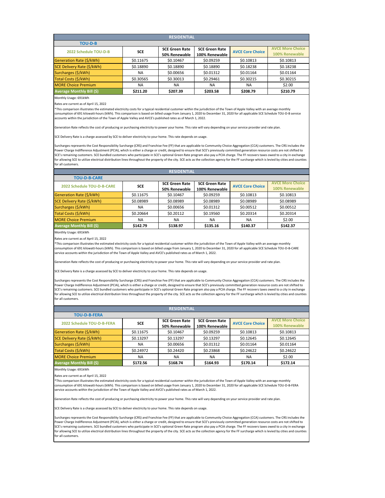Rates are current as of April 15, 2022

Monthly Usage: 691kWh

Rates are current as of April 15, 2022

Monthly Usage: 691kWh

Rates are current as of April 15, 2022

\*This comparison illustrates the estimated electricity costs for a typical residential customer within the jurisdiction of the Town of Apple Valley with an average monthly consumption of 691 kilowatt-hours (kWh). This comparison is based on billed usage from January 1, 2020 to December 31, 2020 for all applicable SCE Schedule TOU-D-B-CARE service accounts within the jurisdiction of the Town of Apple Valley and AVCE's published rates as of March 1, 2022.

| <b>RESIDENTIAL</b>         |            |                       |                       |                         |                         |  |  |  |
|----------------------------|------------|-----------------------|-----------------------|-------------------------|-------------------------|--|--|--|
| <b>TOU-D-B-FERA</b>        |            |                       |                       |                         |                         |  |  |  |
| 2022 Schedule TOU-D-B-FERA | <b>SCE</b> | <b>SCE Green Rate</b> | <b>SCE Green Rate</b> | <b>AVCE Core Choice</b> | <b>AVCE More Choice</b> |  |  |  |
|                            |            | 50% Renewable         | 100% Renewable        |                         | 100% Renewable          |  |  |  |
| Generation Rate (\$/kWh)   | \$0.11675  | \$0.10467             | \$0.09259             | \$0.10813               | \$0.10813               |  |  |  |
| SCE Delivery Rate (\$/kWh) | \$0.13297  | \$0.13297             | \$0.13297             | \$0.12645               | \$0.12645               |  |  |  |
| Surcharges (\$/kWh)        | <b>NA</b>  | \$0.00656             | \$0.01312             | \$0.01164               | \$0.01164               |  |  |  |
| Total Costs (\$/kWh)       | \$0.24972  | \$0.24420             | \$0.23868             | \$0.24622               | \$0.24622               |  |  |  |
| <b>MORE Choice Premium</b> | <b>NA</b>  | <b>NA</b>             | <b>NA</b>             | <b>NA</b>               | \$2.00                  |  |  |  |
| Average Monthly Bill (\$)  | \$172.56   | \$168.74              | \$164.93              | \$170.14                | \$172.14                |  |  |  |

Generation Rate reflects the cost of producing or purchasing electricity to power your home. This rate will vary depending on your service provider and rate plan.

| <b>RESIDENTIAL</b>               |            |                                 |                       |                         |                         |  |  |
|----------------------------------|------------|---------------------------------|-----------------------|-------------------------|-------------------------|--|--|
| <b>TOU-D-B</b>                   |            |                                 |                       |                         |                         |  |  |
| 2022 Schedule TOU-D-B            | <b>SCE</b> | <b>SCE Green Rate</b>           | <b>SCE Green Rate</b> | <b>AVCE Core Choice</b> | <b>AVCE More Choice</b> |  |  |
|                                  |            | 100% Renewable<br>50% Renewable |                       | 100% Renewable          |                         |  |  |
| Generation Rate (\$/kWh)         | \$0.11675  | \$0.10467                       | \$0.09259             | \$0.10813               | \$0.10813               |  |  |
| SCE Delivery Rate (\$/kWh)       | \$0.18890  | \$0.18890                       | \$0.18890             | \$0.18238               | \$0.18238               |  |  |
| Surcharges (\$/kWh)              | <b>NA</b>  | \$0.00656                       | \$0.01312             | \$0.01164               | \$0.01164               |  |  |
| Total Costs (\$/kWh)             | \$0.30565  | \$0.30013                       | \$0.29461             | \$0.30215               | \$0.30215               |  |  |
| <b>MORE Choice Premium</b>       | <b>NA</b>  | <b>NA</b>                       | <b>NA</b>             | <b>NA</b>               | \$2.00                  |  |  |
| <b>Average Monthly Bill (\$)</b> | \$211.20   | \$207.39                        | \$203.58              | \$208.79                | \$210.79                |  |  |

SCE Delivery Rate is a charge assessed by SCE to deliver electricity to your home. This rate depends on usage.

Surcharges represents the Cost Responsibility Surcharge (CRS) and Franchise Fee (FF) that are applicable to Community Choice Aggregation (CCA) customers. The CRS includes the Power Charge Indifference Adjustment (PCIA), which is either a charge or credit, designed to ensure that SCE's previously committed generation resource costs are not shifted to SCE's remaining customers. SCE bundled customers who participate in SCE's optional Green Rate program also pay a PCIA charge. The FF recovers taxes owed to a city in exchange for allowing SCE to utilize electrical distribution lines throughout the property of the city. SCE acts as the collection agency for the FF surcharge which is levied by cities and counties for all customers.

| <b>RESIDENTIAL</b>                |            |                       |                       |                         |                         |  |  |  |
|-----------------------------------|------------|-----------------------|-----------------------|-------------------------|-------------------------|--|--|--|
| <b>TOU-D-B-CARE</b>               |            |                       |                       |                         |                         |  |  |  |
| <b>2022 Schedule TOU-D-B-CARE</b> | <b>SCE</b> | <b>SCE Green Rate</b> | <b>SCE Green Rate</b> | <b>AVCE Core Choice</b> | <b>AVCE More Choice</b> |  |  |  |
|                                   |            | 50% Renewable         | 100% Renewable        |                         | 100% Renewable          |  |  |  |
| Generation Rate (\$/kWh)          | \$0.11675  | \$0.10467             | \$0.09259             | \$0.10813               | \$0.10813               |  |  |  |
| SCE Delivery Rate (\$/kWh)        | \$0.08989  | \$0.08989             | \$0.08989             | \$0.08989               | \$0.08989               |  |  |  |
| Surcharges (\$/kWh)               | <b>NA</b>  | \$0.00656             | \$0.01312             | \$0.00512               | \$0.00512               |  |  |  |
| Total Costs (\$/kWh)              | \$0.20664  | \$0.20112             | \$0.19560             | \$0.20314               | \$0.20314               |  |  |  |
| <b>MORE Choice Premium</b>        | <b>NA</b>  | <b>NA</b>             | <b>NA</b>             | <b>NA</b>               | \$2.00                  |  |  |  |
| <b>Average Monthly Bill (\$)</b>  | \$142.79   | \$138.97              | \$135.16              | \$140.37                | \$142.37                |  |  |  |
|                                   |            |                       |                       |                         |                         |  |  |  |

\*This comparison illustrates the estimated electricity costs for a typical residential customer within the jurisdiction of the Town of Apple Valley with an average monthly consumption of 691 kilowatt-hours (kWh). This comparison is based on billed usage from January 1, 2020 to December 31, 2020 for all applicable SCE Schedule TOU-D-B-FERA service accounts within the jurisdiction of the Town of Apple Valley and AVCE's published rates as of March 1, 2022.

Generation Rate reflects the cost of producing or purchasing electricity to power your home. This rate will vary depending on your service provider and rate plan.

SCE Delivery Rate is a charge assessed by SCE to deliver electricity to your home. This rate depends on usage.

Surcharges represents the Cost Responsibility Surcharge (CRS) and Franchise Fee (FF) that are applicable to Community Choice Aggregation (CCA) customers. The CRS includes the Power Charge Indifference Adjustment (PCIA), which is either a charge or credit, designed to ensure that SCE's previously committed generation resource costs are not shifted to SCE's remaining customers. SCE bundled customers who participate in SCE's optional Green Rate program also pay a PCIA charge. The FF recovers taxes owed to a city in exchange for allowing SCE to utilize electrical distribution lines throughout the property of the city. SCE acts as the collection agency for the FF surcharge which is levied by cities and counties for all customers.

\*This comparison illustrates the estimated electricity costs for a typical residential customer within the jurisdiction of the Town of Apple Valley with an average monthly consumption of 691 kilowatt-hours (kWh). This comparison is based on billed usage from January 1, 2020 to December 31, 2020 for all applicable SCE Schedule TOU-D-B service accounts within the jurisdiction of the Town of Apple Valley and AVCE's published rates as of March 1, 2022.

Generation Rate reflects the cost of producing or purchasing electricity to power your home. This rate will vary depending on your service provider and rate plan.

SCE Delivery Rate is a charge assessed by SCE to deliver electricity to your home. This rate depends on usage.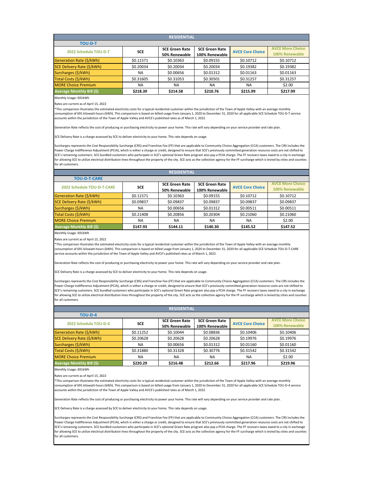Rates are current as of April 15, 2022

| <b>RESIDENTIAL</b>               |            |                       |                       |                         |                         |  |  |
|----------------------------------|------------|-----------------------|-----------------------|-------------------------|-------------------------|--|--|
| <b>TOU-D-T</b>                   |            |                       |                       |                         |                         |  |  |
| 2022 Schedule TOU-D-T            | <b>SCE</b> | <b>SCE Green Rate</b> | <b>SCE Green Rate</b> | <b>AVCE Core Choice</b> | <b>AVCE More Choice</b> |  |  |
|                                  |            | 50% Renewable         | 100% Renewable        |                         | 100% Renewable          |  |  |
| Generation Rate (\$/kWh)         | \$0.11571  | \$0.10363             | \$0.09155             | \$0.10712               | \$0.10712               |  |  |
| SCE Delivery Rate (\$/kWh)       | \$0.20034  | \$0.20034             | \$0.20034             | \$0.19382               | \$0.19382               |  |  |
| Surcharges (\$/kWh)              | <b>NA</b>  | \$0.00656             | \$0.01312             | \$0.01163               | \$0.01163               |  |  |
| Total Costs (\$/kWh)             | \$0.31605  | \$0.31053             | \$0.30501             | \$0.31257               | \$0.31257               |  |  |
| <b>MORE Choice Premium</b>       | <b>NA</b>  | <b>NA</b>             | <b>NA</b>             | <b>NA</b>               | \$2.00                  |  |  |
| <b>Average Monthly Bill (\$)</b> | \$218.39   | \$214.58              | \$210.76              | \$215.99                | \$217.99                |  |  |

Monthly Usage: 691kWh

Rates are current as of April 15, 2022

Monthly Usage: 691kWh

Rates are current as of April 15, 2022

| <b>RESIDENTIAL</b>                |            |                       |                       |                         |                         |  |  |  |
|-----------------------------------|------------|-----------------------|-----------------------|-------------------------|-------------------------|--|--|--|
| <b>TOU-D-T-CARE</b>               |            |                       |                       |                         |                         |  |  |  |
| <b>2022 Schedule TOU-D-T-CARE</b> | <b>SCE</b> | <b>SCE Green Rate</b> | <b>SCE Green Rate</b> | <b>AVCE Core Choice</b> | <b>AVCE More Choice</b> |  |  |  |
|                                   |            | 50% Renewable         | 100% Renewable        |                         | 100% Renewable          |  |  |  |
| Generation Rate (\$/kWh)          | \$0.11571  | \$0.10363             | \$0.09155             | \$0.10712               | \$0.10712               |  |  |  |
| SCE Delivery Rate (\$/kWh)        | \$0.09837  | \$0.09837             | \$0.09837             | \$0.09837               | \$0.09837               |  |  |  |
| Surcharges (\$/kWh)               | <b>NA</b>  | \$0.00656             | \$0.01312             | \$0.00511               | \$0.00511               |  |  |  |
| Total Costs (\$/kWh)              | \$0.21408  | \$0.20856             | \$0.20304             | \$0.21060               | \$0.21060               |  |  |  |
| <b>MORE Choice Premium</b>        | <b>NA</b>  | <b>NA</b>             | <b>NA</b>             | <b>NA</b>               | \$2.00                  |  |  |  |
| <b>Average Monthly Bill (\$)</b>  | \$147.93   | \$144.11              | \$140.30              | \$145.52                | \$147.52                |  |  |  |

\*This comparison illustrates the estimated electricity costs for a typical residential customer within the jurisdiction of the Town of Apple Valley with an average monthly consumption of 691 kilowatt-hours (kWh). This comparison is based on billed usage from January 1, 2020 to December 31, 2020 for all applicable SCE Schedule TOU-D-T service accounts within the jurisdiction of the Town of Apple Valley and AVCE's published rates as of March 1, 2022.

Generation Rate reflects the cost of producing or purchasing electricity to power your home. This rate will vary depending on your service provider and rate plan.

SCE Delivery Rate is a charge assessed by SCE to deliver electricity to your home. This rate depends on usage.

Surcharges represents the Cost Responsibility Surcharge (CRS) and Franchise Fee (FF) that are applicable to Community Choice Aggregation (CCA) customers. The CRS includes the Power Charge Indifference Adjustment (PCIA), which is either a charge or credit, designed to ensure that SCE's previously committed generation resource costs are not shifted to SCE's remaining customers. SCE bundled customers who participate in SCE's optional Green Rate program also pay a PCIA charge. The FF recovers taxes owed to a city in exchange for allowing SCE to utilize electrical distribution lines throughout the property of the city. SCE acts as the collection agency for the FF surcharge which is levied by cities and counties for all customers.

| <b>RESIDENTIAL</b>         |            |                       |                       |                         |                         |  |  |  |
|----------------------------|------------|-----------------------|-----------------------|-------------------------|-------------------------|--|--|--|
| <b>TOU-D-4</b>             |            |                       |                       |                         |                         |  |  |  |
| 2022 Schedule TOU-D-4      | <b>SCE</b> | <b>SCE Green Rate</b> | <b>SCE Green Rate</b> | <b>AVCE Core Choice</b> | <b>AVCE More Choice</b> |  |  |  |
|                            |            | 50% Renewable         | 100% Renewable        |                         | 100% Renewable          |  |  |  |
| Generation Rate (\$/kWh)   | \$0.11252  | \$0.10044             | \$0.08836             | \$0.10406               | \$0.10406               |  |  |  |
| SCE Delivery Rate (\$/kWh) | \$0.20628  | \$0.20628             | \$0.20628             | \$0.19976               | \$0.19976               |  |  |  |
| Surcharges (\$/kWh)        | <b>NA</b>  | \$0.00656             | \$0.01312             | \$0.01160               | \$0.01160               |  |  |  |
| Total Costs (\$/kWh)       | \$0.31880  | \$0.31328             | \$0.30776             | \$0.31542               | \$0.31542               |  |  |  |
| <b>MORE Choice Premium</b> | <b>NA</b>  | <b>NA</b>             | <b>NA</b>             | <b>NA</b>               | \$2.00                  |  |  |  |
| Average Monthly Bill (\$)  | \$220.29   | \$216.48              | \$212.66              | \$217.96                | \$219.96                |  |  |  |

\*This comparison illustrates the estimated electricity costs for a typical residential customer within the jurisdiction of the Town of Apple Valley with an average monthly consumption of 691 kilowatt-hours (kWh). This comparison is based on billed usage from January 1, 2020 to December 31, 2020 for all applicable SCE Schedule TOU-D-T-CARE service accounts within the jurisdiction of the Town of Apple Valley and AVCE's published rates as of March 1, 2022.

Generation Rate reflects the cost of producing or purchasing electricity to power your home. This rate will vary depending on your service provider and rate plan.

SCE Delivery Rate is a charge assessed by SCE to deliver electricity to your home. This rate depends on usage.

Surcharges represents the Cost Responsibility Surcharge (CRS) and Franchise Fee (FF) that are applicable to Community Choice Aggregation (CCA) customers. The CRS includes the Power Charge Indifference Adjustment (PCIA), which is either a charge or credit, designed to ensure that SCE's previously committed generation resource costs are not shifted to SCE's remaining customers. SCE bundled customers who participate in SCE's optional Green Rate program also pay a PCIA charge. The FF recovers taxes owed to a city in exchange for allowing SCE to utilize electrical distribution lines throughout the property of the city. SCE acts as the collection agency for the FF surcharge which is levied by cities and counties for all customers.

\*This comparison illustrates the estimated electricity costs for a typical residential customer within the jurisdiction of the Town of Apple Valley with an average monthly consumption of 691 kilowatt-hours (kWh). This comparison is based on billed usage from January 1, 2020 to December 31, 2020 for all applicable SCE Schedule TOU-D-4 service

ants within the jurisdiction of the Town of Apple Valley and AVCE's published rates as of March 1, 2022.

Generation Rate reflects the cost of producing or purchasing electricity to power your home. This rate will vary depending on your service provider and rate plan.

SCE Delivery Rate is a charge assessed by SCE to deliver electricity to your home. This rate depends on usage.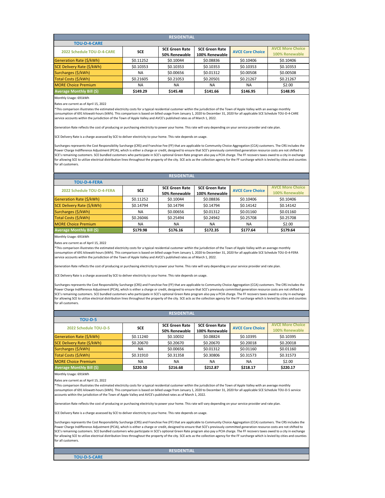Rates are current as of April 15, 2022

| <b>RESIDENTIAL</b>                |            |                       |                       |                         |                         |  |  |  |
|-----------------------------------|------------|-----------------------|-----------------------|-------------------------|-------------------------|--|--|--|
| <b>TOU-D-4-CARE</b>               |            |                       |                       |                         |                         |  |  |  |
| 2022 Schedule TOU-D-4-CARE        | <b>SCE</b> | <b>SCE Green Rate</b> | <b>SCE Green Rate</b> | <b>AVCE Core Choice</b> | <b>AVCE More Choice</b> |  |  |  |
|                                   |            | 50% Renewable         | 100% Renewable        |                         | 100% Renewable          |  |  |  |
| Generation Rate (\$/kWh)          | \$0.11252  | \$0.10044             | \$0.08836             | \$0.10406               | \$0.10406               |  |  |  |
| <b>SCE Delivery Rate (\$/kWh)</b> | \$0.10353  | \$0.10353             | \$0.10353             | \$0.10353               | \$0.10353               |  |  |  |
| Surcharges (\$/kWh)               | <b>NA</b>  | \$0.00656             | \$0.01312             | \$0.00508               | \$0.00508               |  |  |  |
| Total Costs (\$/kWh)              | \$0.21605  | \$0.21053             | \$0.20501             | \$0.21267               | \$0.21267               |  |  |  |
| <b>MORE Choice Premium</b>        | <b>NA</b>  | <b>NA</b>             | ΝA                    | <b>NA</b>               | \$2.00                  |  |  |  |
| <b>Average Monthly Bill (\$)</b>  | \$149.29   | \$145.48              | \$141.66              | \$146.95                | \$148.95                |  |  |  |

Monthly Usage: 691kWh

Rates are current as of April 15, 2022

Monthly Usage: 691kWh

Rates are current as of April 15, 2022

This comparison illustrates the estimated electricity costs for a typical residential customer within the jurisdiction of the Town of Apple Valley with an average monthly

**TOU-D-5-CARE**

# **RESIDENTIAL**

| <b>RESIDENTIAL</b>               |            |                       |                       |                         |                         |  |  |  |
|----------------------------------|------------|-----------------------|-----------------------|-------------------------|-------------------------|--|--|--|
| <b>TOU-D-4-FERA</b>              |            |                       |                       |                         |                         |  |  |  |
| 2022 Schedule TOU-D-4-FERA       | <b>SCE</b> | <b>SCE Green Rate</b> | <b>SCE Green Rate</b> | <b>AVCE Core Choice</b> | <b>AVCE More Choice</b> |  |  |  |
|                                  |            | 50% Renewable         | 100% Renewable        |                         | 100% Renewable          |  |  |  |
| Generation Rate (\$/kWh)         | \$0.11252  | \$0.10044             | \$0.08836             | \$0.10406               | \$0.10406               |  |  |  |
| SCE Delivery Rate (\$/kWh)       | \$0.14794  | \$0.14794             | \$0.14794             | \$0.14142               | \$0.14142               |  |  |  |
| Surcharges (\$/kWh)              | <b>NA</b>  | \$0.00656             | \$0.01312             | \$0.01160               | \$0.01160               |  |  |  |
| Total Costs (\$/kWh)             | \$0.26046  | \$0.25494             | \$0.24942             | \$0.25708               | \$0.25708               |  |  |  |
| <b>MORE Choice Premium</b>       | <b>NA</b>  | NA                    | <b>NA</b>             | <b>NA</b>               | \$2.00                  |  |  |  |
| <b>Average Monthly Bill (\$)</b> | \$179.98   | \$176.16              | \$172.35              | \$177.64                | \$179.64                |  |  |  |

\*This comparison illustrates the estimated electricity costs for a typical residential customer within the jurisdiction of the Town of Apple Valley with an average monthly consumption of 691 kilowatt-hours (kWh). This comparison is based on billed usage from January 1, 2020 to December 31, 2020 for all applicable SCE Schedule TOU-D-4-CARE service accounts within the jurisdiction of the Town of Apple Valley and AVCE's published rates as of March 1, 2022.

Generation Rate reflects the cost of producing or purchasing electricity to power your home. This rate will vary depending on your service provider and rate plan.

SCE Delivery Rate is a charge assessed by SCE to deliver electricity to your home. This rate depends on usage.

umption of 691 kilowatt-hours (kWh). This comparison is based on billed usage from January 1, 2020 to accounts within the jurisdiction of the Town of Apple Valley and AVCE's published rates as of March 1, 2022.

Surcharges represents the Cost Responsibility Surcharge (CRS) and Franchise Fee (FF) that are applicable to Community Choice Aggregation (CCA) customers. The CRS includes the Power Charge Indifference Adjustment (PCIA), which is either a charge or credit, designed to ensure that SCE's previously committed generation resource costs are not shifted to SCE's remaining customers. SCE bundled customers who participate in SCE's optional Green Rate program also pay a PCIA charge. The FF recovers taxes owed to a city in exchange for allowing SCE to utilize electrical distribution lines throughout the property of the city. SCE acts as the collection agency for the FF surcharge which is levied by cities and counties for all customers.

| <b>RESIDENTIAL</b>               |            |                       |                       |                         |                         |  |  |  |  |
|----------------------------------|------------|-----------------------|-----------------------|-------------------------|-------------------------|--|--|--|--|
| <b>TOU-D-5</b>                   |            |                       |                       |                         |                         |  |  |  |  |
| 2022 Schedule TOU-D-5            | <b>SCE</b> | <b>SCE Green Rate</b> | <b>SCE Green Rate</b> |                         | <b>AVCE More Choice</b> |  |  |  |  |
|                                  |            | 50% Renewable         | 100% Renewable        | <b>AVCE Core Choice</b> | 100% Renewable          |  |  |  |  |
| Generation Rate (\$/kWh)         | \$0.11240  | \$0.10032             | \$0.08824             | \$0.10395               | \$0.10395               |  |  |  |  |
| SCE Delivery Rate (\$/kWh)       | \$0.20670  | \$0.20670             | \$0.20670             | \$0.20018               | \$0.20018               |  |  |  |  |
| Surcharges (\$/kWh)              | <b>NA</b>  | \$0.00656             | \$0.01312             | \$0.01160               | \$0.01160               |  |  |  |  |
| Total Costs (\$/kWh)             | \$0.31910  | \$0.31358             | \$0.30806             | \$0.31573               | \$0.31573               |  |  |  |  |
| <b>MORE Choice Premium</b>       | <b>NA</b>  | <b>NA</b>             | <b>NA</b>             | <b>NA</b>               | \$2.00                  |  |  |  |  |
| <b>Average Monthly Bill (\$)</b> | \$220.50   | \$216.68              | \$212.87              | \$218.17                | \$220.17                |  |  |  |  |

\*This comparison illustrates the estimated electricity costs for a typical residential customer within the jurisdiction of the Town of Apple Valley with an average monthly consumption of 691 kilowatt-hours (kWh). This comparison is based on billed usage from January 1, 2020 to December 31, 2020 for all applicable SCE Schedule TOU-D-4-FERA service accounts within the jurisdiction of the Town of Apple Valley and AVCE's published rates as of March 1, 2022.

Generation Rate reflects the cost of producing or purchasing electricity to power your home. This rate will vary depending on your service provider and rate plan.

SCE Delivery Rate is a charge assessed by SCE to deliver electricity to your home. This rate depends on usage.

Surcharges represents the Cost Responsibility Surcharge (CRS) and Franchise Fee (FF) that are applicable to Community Choice Aggregation (CCA) customers. The CRS includes the Power Charge Indifference Adjustment (PCIA), which is either a charge or credit, designed to ensure that SCE's previously committed generation resource costs are not shifted to SCE's remaining customers. SCE bundled customers who participate in SCE's optional Green Rate program also pay a PCIA charge. The FF recovers taxes owed to a city in exchange for allowing SCE to utilize electrical distribution lines throughout the property of the city. SCE acts as the collection agency for the FF surcharge which is levied by cities and counties for all customers.

Generation Rate reflects the cost of producing or purchasing electricity to power your home. This rate will vary depending on your service provider and rate plan.

SCE Delivery Rate is a charge assessed by SCE to deliver electricity to your home. This rate depends on usage.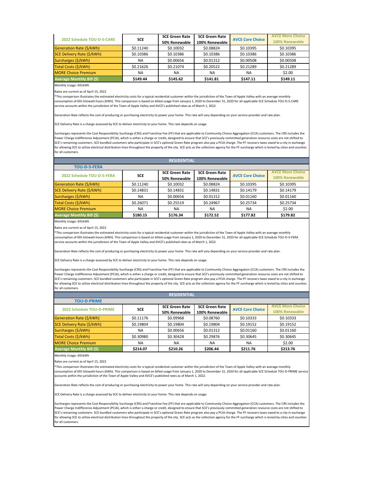| 2022 Schedule TOU-D-5-CARE       | <b>SCE</b> | <b>SCE Green Rate</b> | <b>SCE Green Rate</b> | <b>AVCE Core Choice</b> | <b>AVCE More Choice</b> |
|----------------------------------|------------|-----------------------|-----------------------|-------------------------|-------------------------|
|                                  |            | 50% Renewable         | 100% Renewable        |                         | 100% Renewable          |
| Generation Rate (\$/kWh)         | \$0.11240  | \$0.10032             | \$0.08824             | \$0.10395               | \$0.10395               |
| SCE Delivery Rate (\$/kWh)       | \$0.10386  | \$0.10386             | \$0.10386             | \$0.10386               | \$0.10386               |
| Surcharges (\$/kWh)              | <b>NA</b>  | \$0.00656             | \$0.01312             | \$0.00508               | \$0.00508               |
| Total Costs (\$/kWh)             | \$0.21626  | \$0.21074             | \$0.20522             | \$0.21289               | \$0.21289               |
| <b>MORE Choice Premium</b>       | <b>NA</b>  | ΝA                    | ΝA                    | <b>NA</b>               | \$2.00                  |
| <b>Average Monthly Bill (\$)</b> | \$149.44   | \$145.62              | \$141.81              | \$147.11                | \$149.11                |

Rates are current as of April 15, 2022

Monthly Usage: 691kWh

Rates are current as of April 15, 2022

Monthly Usage: 691kWh

Rates are current as of April 15, 2022

| <b>RESIDENTIAL</b>                |            |                                        |                                         |                         |                                           |  |  |  |
|-----------------------------------|------------|----------------------------------------|-----------------------------------------|-------------------------|-------------------------------------------|--|--|--|
| <b>TOU-D-5-FERA</b>               |            |                                        |                                         |                         |                                           |  |  |  |
| 2022 Schedule TOU-D-5-FERA        | <b>SCE</b> | <b>SCE Green Rate</b><br>50% Renewable | <b>SCE Green Rate</b><br>100% Renewable | <b>AVCE Core Choice</b> | <b>AVCE More Choice</b><br>100% Renewable |  |  |  |
| Generation Rate (\$/kWh)          | \$0.11240  | \$0.10032                              | \$0.08824                               | \$0.10395               | \$0.10395                                 |  |  |  |
| <b>SCE Delivery Rate (\$/kWh)</b> | \$0.14831  | \$0.14831                              | \$0.14831                               | \$0.14179               | \$0.14179                                 |  |  |  |
| Surcharges (\$/kWh)               | <b>NA</b>  | \$0.00656                              | \$0.01312                               | \$0.01160               | \$0.01160                                 |  |  |  |
| Total Costs (\$/kWh)              | \$0.26071  | \$0.25519                              | \$0.24967                               | \$0.25734               | \$0.25734                                 |  |  |  |
| <b>MORE Choice Premium</b>        | <b>NA</b>  | NA                                     | <b>NA</b>                               | <b>NA</b>               | \$2.00                                    |  |  |  |
| <b>Average Monthly Bill (\$)</b>  | \$180.15   | \$176.34                               | \$172.52                                | \$177.82                | \$179.82                                  |  |  |  |

\*This comparison illustrates the estimated electricity costs for a typical residential customer within the jurisdiction of the Town of Apple Valley with an average monthly consumption of 691 kilowatt-hours (kWh). This comparison is based on billed usage from January 1, 2020 to December 31, 2020 for all applicable SCE Schedule TOU-D-5-CARE service accounts within the jurisdiction of the Town of Apple Valley and AVCE's published rates as of March 1, 2022.

Generation Rate reflects the cost of producing or purchasing electricity to power your home. This rate will vary depending on your service provider and rate plan.

SCE Delivery Rate is a charge assessed by SCE to deliver electricity to your home. This rate depends on usage.

Surcharges represents the Cost Responsibility Surcharge (CRS) and Franchise Fee (FF) that are applicable to Community Choice Aggregation (CCA) customers. The CRS includes the Power Charge Indifference Adjustment (PCIA), which is either a charge or credit, designed to ensure that SCE's previously committed generation resource costs are not shifted to SCE's remaining customers. SCE bundled customers who participate in SCE's optional Green Rate program also pay a PCIA charge. The FF recovers taxes owed to a city in exchange for allowing SCE to utilize electrical distribution lines throughout the property of the city. SCE acts as the collection agency for the FF surcharge which is levied by cities and counties for all customers.

| <b>RESIDENTIAL</b>               |            |                       |                       |                         |                         |  |  |  |
|----------------------------------|------------|-----------------------|-----------------------|-------------------------|-------------------------|--|--|--|
| <b>TOU-D-PRIME</b>               |            |                       |                       |                         |                         |  |  |  |
| <b>2022 Schedule TOU-D-PRIME</b> | <b>SCE</b> | <b>SCE Green Rate</b> | <b>SCE Green Rate</b> | <b>AVCE Core Choice</b> | <b>AVCE More Choice</b> |  |  |  |
|                                  |            | 50% Renewable         | 100% Renewable        |                         | 100% Renewable          |  |  |  |
| Generation Rate (\$/kWh)         | \$0.11176  | \$0.09968             | \$0.08760             | \$0.10333               | \$0.10333               |  |  |  |
| SCE Delivery Rate (\$/kWh)       | \$0.19804  | \$0.19804             | \$0.19804             | \$0.19152               | \$0.19152               |  |  |  |
| Surcharges (\$/kWh)              | <b>NA</b>  | \$0.00656             | \$0.01312             | \$0.01160               | \$0.01160               |  |  |  |
| Total Costs (\$/kWh)             | \$0.30980  | \$0.30428             | \$0.29876             | \$0.30645               | \$0.30645               |  |  |  |
| <b>MORE Choice Premium</b>       | <b>NA</b>  | NA.                   | <b>NA</b>             | <b>NA</b>               | \$2.00                  |  |  |  |
| Average Monthly Bill (\$)        | \$214.07   | \$210.26              | \$206.44              | \$211.76                | \$213.76                |  |  |  |

\*This comparison illustrates the estimated electricity costs for a typical residential customer within the jurisdiction of the Town of Apple Valley with an average monthly consumption of 691 kilowatt-hours (kWh). This comparison is based on billed usage from January 1, 2020 to December 31, 2020 for all applicable SCE Schedule TOU-D-5-FERA service accounts within the jurisdiction of the Town of Apple Valley and AVCE's published rates as of March 1, 2022.

Generation Rate reflects the cost of producing or purchasing electricity to power your home. This rate will vary depending on your service provider and rate plan.

SCE Delivery Rate is a charge assessed by SCE to deliver electricity to your home. This rate depends on usage.

Surcharges represents the Cost Responsibility Surcharge (CRS) and Franchise Fee (FF) that are applicable to Community Choice Aggregation (CCA) customers. The CRS includes the Power Charge Indifference Adjustment (PCIA), which is either a charge or credit, designed to ensure that SCE's previously committed generation resource costs are not shifted to SCE's remaining customers. SCE bundled customers who participate in SCE's optional Green Rate program also pay a PCIA charge. The FF recovers taxes owed to a city in exchange for allowing SCE to utilize electrical distribution lines throughout the property of the city. SCE acts as the collection agency for the FF surcharge which is levied by cities and counties for all customers.

\*This comparison illustrates the estimated electricity costs for a typical residential customer within the jurisdiction of the Town of Apple Valley with an average monthly consumption of 691 kilowatt-hours (kWh). This comparison is based on billed usage from January 1, 2020 to December 31, 2020 for all applicable SCE Schedule TOU-D-PRIME service accounts within the jurisdiction of the Town of Apple Valley and AVCE's published rates as of March 1, 2022.

Generation Rate reflects the cost of producing or purchasing electricity to power your home. This rate will vary depending on your service provider and rate plan.

SCE Delivery Rate is a charge assessed by SCE to deliver electricity to your home. This rate depends on usage.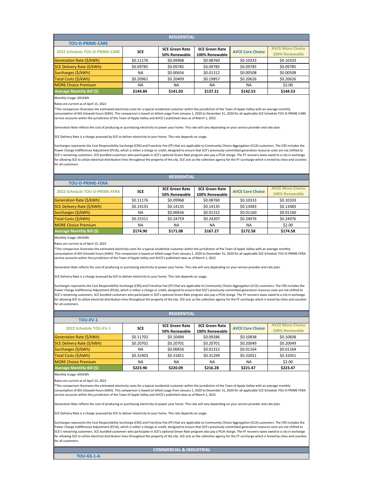Rates are current as of April 15, 2022

| <b>RESIDENTIAL</b>                    |            |                       |                       |                         |                         |  |  |  |
|---------------------------------------|------------|-----------------------|-----------------------|-------------------------|-------------------------|--|--|--|
| <b>TOU-D-PRIME-CARE</b>               |            |                       |                       |                         |                         |  |  |  |
| <b>2022 Schedule TOU-D-PRIME-CARE</b> | <b>SCE</b> | <b>SCE Green Rate</b> | <b>SCE Green Rate</b> | <b>AVCE Core Choice</b> | <b>AVCE More Choice</b> |  |  |  |
|                                       |            | 50% Renewable         | 100% Renewable        |                         | 100% Renewable          |  |  |  |
| Generation Rate (\$/kWh)              | \$0.11176  | \$0.09968             | \$0.08760             | \$0.10333               | \$0.10333               |  |  |  |
| SCE Delivery Rate (\$/kWh)            | \$0.09785  | \$0.09785             | \$0.09785             | \$0.09785               | \$0.09785               |  |  |  |
| Surcharges (\$/kWh)                   | <b>NA</b>  | \$0.00656             | \$0.01312             | \$0.00508               | \$0.00508               |  |  |  |
| Total Costs (\$/kWh)                  | \$0.20961  | \$0.20409             | \$0.19857             | \$0.20626               | \$0.20626               |  |  |  |
| <b>MORE Choice Premium</b>            | <b>NA</b>  | <b>NA</b>             | <b>NA</b>             | <b>NA</b>               | \$2.00                  |  |  |  |
| <b>Average Monthly Bill (\$)</b>      | \$144.84   | \$141.03              | \$137.21              | \$142.53                | \$144.53                |  |  |  |

Monthly Usage: 691kWh

Rates are current as of April 15, 2022

Monthly Usage: 691kWh

Rates are current as of April 15, 2022

**TOU-GS-1-A**

# **COMMERCIAL & INDUSTRIAL**

| <b>RESIDENTIAL</b>                    |            |                                        |                                         |                         |                                           |  |  |  |
|---------------------------------------|------------|----------------------------------------|-----------------------------------------|-------------------------|-------------------------------------------|--|--|--|
| <b>TOU-D-PRIME-FERA</b>               |            |                                        |                                         |                         |                                           |  |  |  |
| <b>2022 Schedule TOU-D-PRIME-FERA</b> | <b>SCE</b> | <b>SCE Green Rate</b><br>50% Renewable | <b>SCE Green Rate</b><br>100% Renewable | <b>AVCE Core Choice</b> | <b>AVCE More Choice</b><br>100% Renewable |  |  |  |
| Generation Rate (\$/kWh)              | \$0.11176  | \$0.09968                              | \$0.08760                               | \$0.10333               | \$0.10333                                 |  |  |  |
| SCE Delivery Rate (\$/kWh)            | \$0.14135  | \$0.14135                              | \$0.14135                               | \$0.13483               | \$0.13483                                 |  |  |  |
| Surcharges (\$/kWh)                   | NA         | \$0.00656                              | \$0.01312                               | \$0.01160               | \$0.01160                                 |  |  |  |
| Total Costs (\$/kWh)                  | \$0.25311  | \$0.24759                              | \$0.24207                               | \$0.24976               | \$0.24976                                 |  |  |  |
| <b>MORE Choice Premium</b>            | <b>NA</b>  | NA.                                    | <b>NA</b>                               | <b>NA</b>               | \$2.00                                    |  |  |  |
| <b>Average Monthly Bill (\$)</b>      | \$174.90   | \$171.08                               | \$167.27                                | \$172.58                | \$174.58                                  |  |  |  |

\*This comparison illustrates the estimated electricity costs for a typical residential customer within the jurisdiction of the Town of Apple Valley with an average monthly consumption of 691 kilowatt-hours (kWh). This comparison is based on billed usage from January 1, 2020 to December 31, 2020 for all applicable SCE Schedule TOU-D-PRIME-CARE service accounts within the jurisdiction of the Town of Apple Valley and AVCE's published rates as of March 1, 2022.

Generation Rate reflects the cost of producing or purchasing electricity to power your home. This rate will vary depending on your service provider and rate plan.

SCE Delivery Rate is a charge assessed by SCE to deliver electricity to your home. This rate depends on usage.

Surcharges represents the Cost Responsibility Surcharge (CRS) and Franchise Fee (FF) that are applicable to Community Choice Aggregation (CCA) customers. The CRS includes the Power Charge Indifference Adjustment (PCIA), which is either a charge or credit, designed to ensure that SCE's previously committed generation resource costs are not shifted to SCE's remaining customers. SCE bundled customers who participate in SCE's optional Green Rate program also pay a PCIA charge. The FF recovers taxes owed to a city in exchange for allowing SCE to utilize electrical distribution lines throughout the property of the city. SCE acts as the collection agency for the FF surcharge which is levied by cities and counties for all customers.

| <b>RESIDENTIAL</b>         |            |                                 |                       |                         |                         |  |  |  |  |
|----------------------------|------------|---------------------------------|-----------------------|-------------------------|-------------------------|--|--|--|--|
| <b>TOU-EV-1</b>            |            |                                 |                       |                         |                         |  |  |  |  |
| 2022 Schedule TOU-EV-1     | <b>SCE</b> | <b>SCE Green Rate</b>           | <b>SCE Green Rate</b> | <b>AVCE Core Choice</b> | <b>AVCE More Choice</b> |  |  |  |  |
|                            |            | 100% Renewable<br>50% Renewable |                       | 100% Renewable          |                         |  |  |  |  |
| Generation Rate (\$/kWh)   | \$0.11702  | \$0.10494                       | \$0.09286             | \$0.10838               | \$0.10838               |  |  |  |  |
| SCE Delivery Rate (\$/kWh) | \$0.20701  | \$0.20701                       | \$0.20701             | \$0.20049               | \$0.20049               |  |  |  |  |
| Surcharges (\$/kWh)        | <b>NA</b>  | \$0.00656                       | \$0.01312             | \$0.01164               | \$0.01164               |  |  |  |  |
| Total Costs (\$/kWh)       | \$0.32403  | \$0.31851                       | \$0.31299             | \$0.32051               | \$0.32051               |  |  |  |  |
| <b>MORE Choice Premium</b> | <b>NA</b>  | <b>NA</b>                       | <b>NA</b>             | <b>NA</b>               | \$2.00                  |  |  |  |  |
| Average Monthly Bill (\$)  | \$223.90   | \$220.09                        | \$216.28              | \$221.47                | \$223.47                |  |  |  |  |

\*This comparison illustrates the estimated electricity costs for a typical residential customer within the jurisdiction of the Town of Apple Valley with an average monthly consumption of 691 kilowatt-hours (kWh). This comparison is based on billed usage from January 1, 2020 to December 31, 2020 for all applicable SCE Schedule TOU-D-PRIME-FERA service accounts within the jurisdiction of the Town of Apple Valley and AVCE's published rates as of March 1, 2022.

Generation Rate reflects the cost of producing or purchasing electricity to power your home. This rate will vary depending on your service provider and rate plan.

SCE Delivery Rate is a charge assessed by SCE to deliver electricity to your home. This rate depends on usage.

Surcharges represents the Cost Responsibility Surcharge (CRS) and Franchise Fee (FF) that are applicable to Community Choice Aggregation (CCA) customers. The CRS includes the Power Charge Indifference Adjustment (PCIA), which is either a charge or credit, designed to ensure that SCE's previously committed generation resource costs are not shifted to SCE's remaining customers. SCE bundled customers who participate in SCE's optional Green Rate program also pay a PCIA charge. The FF recovers taxes owed to a city in exchange for allowing SCE to utilize electrical distribution lines throughout the property of the city. SCE acts as the collection agency for the FF surcharge which is levied by cities and counties for all customers.

\*This comparison illustrates the estimated electricity costs for a typical residential customer within the jurisdiction of the Town of Apple Valley with an average monthly umption of 691 kilowatt-hours (kWh). This comparison is based on billed usage from January 1, 2020 to December 31, 2020 tor all app service accounts within the jurisdiction of the Town of Apple Valley and AVCE's published rates as of March 1, 2022.

Generation Rate reflects the cost of producing or purchasing electricity to power your home. This rate will vary depending on your service provider and rate plan.

SCE Delivery Rate is a charge assessed by SCE to deliver electricity to your home. This rate depends on usage.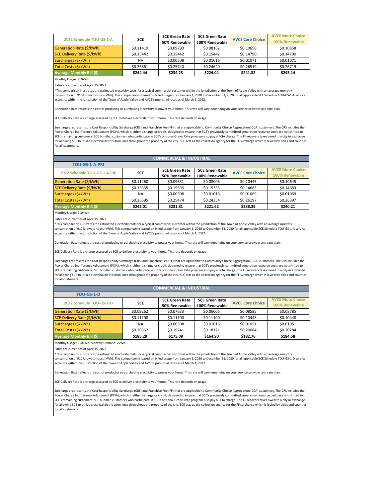| 2022 Schedule TOU-GS-1-A   |           | <b>SCE Green Rate</b><br><b>SCE</b> | <b>SCE Green Rate</b> | <b>AVCE Core Choice</b> | <b>AVCE More Choice</b> |
|----------------------------|-----------|-------------------------------------|-----------------------|-------------------------|-------------------------|
|                            |           | 50% Renewable                       | 100% Renewable        |                         | 100% Renewable          |
| Generation Rate (\$/kWh)   | \$0.11419 | \$0.09790                           | \$0.08162             | \$0.10658               | \$0.10858               |
| SCE Delivery Rate (\$/kWh) | \$0.15442 | \$0.15442                           | \$0.15442             | \$0.14790               | \$0.14790               |
| Surcharges (\$/kWh)        | <b>NA</b> | \$0.00508                           | \$0.01016             | \$0.01071               | \$0.01071               |
| Total Costs (\$/kWh)       | \$0.26861 | \$0.25740                           | \$0.24620             | \$0.26519               | \$0.26719               |
| Average Monthly Bill (\$)  | \$244.44  | \$234.23                            | \$224.04              | \$241.32                | \$243.14                |

Rates are current as of April 15, 2022

| <b>TOU-GS-1-A-PRI</b>            |            |                       |                       |                         |                         |
|----------------------------------|------------|-----------------------|-----------------------|-------------------------|-------------------------|
| 2022 Schedule TOU-GS-1-A-PRI     | <b>SCE</b> | <b>SCE Green Rate</b> | <b>SCE Green Rate</b> | <b>AVCE Core Choice</b> | <b>AVCE More Choice</b> |
|                                  |            | 50% Renewable         | 100% Renewable        |                         | 100% Renewable          |
| Generation Rate (\$/kWh)         | \$0.11260  | \$0.09631             | \$0.08003             | \$0.10445               | \$0.10645               |
| SCE Delivery Rate (\$/kWh)       | \$0.15335  | \$0.15335             | \$0.15335             | \$0.14683               | \$0.14683               |
| Surcharges (\$/kWh)              | ΝA         | \$0.00508             | \$0.01016             | \$0.01069               | \$0.01069               |
| Total Costs (\$/kWh)             | \$0.26595  | \$0.25474             | \$0.24354             | \$0.26197               | \$0.26397               |
| <b>Average Monthly Bill (\$)</b> | \$242.01   | \$231.81              | \$221.62              | \$238.39                | \$240.21                |

Monthly Usage: 910kWh

Rates are current as of April 15, 2022

| <b>TOU-GS-1-D</b>                |            |                       |                       |                         |                         |
|----------------------------------|------------|-----------------------|-----------------------|-------------------------|-------------------------|
| 2022 Schedule TOU-GS-1-D         | <b>SCE</b> | <b>SCE Green Rate</b> | <b>SCE Green Rate</b> | <b>AVCE Core Choice</b> | <b>AVCE More Choice</b> |
|                                  |            | 50% Renewable         | 100% Renewable        |                         | 100% Renewable          |
| Generation Rate (\$/kWh)         | \$0.09262  | \$0.07633             | \$0.06005             | \$0.08585               | \$0.08785               |
| SCE Delivery Rate (\$/kWh)       | \$0.11100  | \$0.11100             | \$0.11100             | \$0.10448               | \$0.10448               |
| Surcharges (\$/kWh)              | NA.        | \$0.00508             | \$0.01016             | \$0.01051               | \$0.01051               |
| Total Costs (\$/kWh)             | \$0.20362  | \$0.19241             | \$0.18121             | \$0.20084               | \$0.20284               |
| <b>Average Monthly Bill (\$)</b> | \$185.29   | \$175.09              | \$164.90              | \$182.76                | \$184.58                |

Monthly Usage: 910kWh Monthly Demand: 2kWh

Rates are current as of April 15, 2022

\*This comparison illustrates the estimated electricity costs for a typical commercial customer within the jurisdiction of the Town of Apple Valley with an average monthly consumption of 910 kilowatt-hours (kWh). This comparison is based on billed usage from January 1, 2020 to December 31, 2020 for all applicable SCE Schedule TOU-GS-1-A service accounts within the jurisdiction of the Town of Apple Valley and AVCE's published rates as of March 1, 2022.

Generation Rate reflects the cost of producing or purchasing electricity to power your home. This rate will vary depending on your service provider and rate plan.

SCE Delivery Rate is a charge assessed by SCE to deliver electricity to your home. This rate depends on usage.

Surcharges represents the Cost Responsibility Surcharge (CRS) and Franchise Fee (FF) that are applicable to Community Choice Aggregation (CCA) customers. The CRS includes the Power Charge Indifference Adjustment (PCIA), which is either a charge or credit, designed to ensure that SCE's previously committed generation resource costs are not shifted to SCE's remaining customers. SCE bundled customers who participate in SCE's optional Green Rate program also pay a PCIA charge. The FF recovers taxes owed to a city in exchange for allowing SCE to utilize electrical distribution lines throughout the property of the city. SCE acts as the collection agency for the FF surcharge which is levied by cities and counties for all customers.

iurcharges represents the Cost Responsibility Surcharge (CRS) and Franchise Fee (FF) that are applicable to Community Choice Aggregation (CCA) customers. The CRS includes the Power Charge Indifference Adjustment (PCIA), which is either a charge or credit, designed to ensure that SCE's previously committed generation resource costs are not shifted to SCE's remaining customers. SCE bundled customers who participate in SCE's optional Green Rate program also pay a PCIA charge. The FF recovers taxes owed to a city in exchange for allowing SCE to utilize electrical distribution lines throughout the property of the city. SCE acts as the collection agency for the FF surcharge which is levied by cities and counties for all customers.

## **COMMERCIAL & INDUSTRIAL**

\*This comparison illustrates the estimated electricity costs for a typical commercial customer within the jurisdiction of the Town of Apple Valley with an average monthly consumption of 910 kilowatt-hours (kWh). This comparison is based on billed usage from January 1, 2020 to December 31, 2020 for all applicable SCE Schedule TOU-GS-1-A service accounts within the jurisdiction of the Town of Apple Valley and AVCE's published rates as of March 1, 2022.

Generation Rate reflects the cost of producing or purchasing electricity to power your home. This rate will vary depending on your service provider and rate plan.

SCE Delivery Rate is a charge assessed by SCE to deliver electricity to your home. This rate depends on usage.

Surcharges represents the Cost Responsibility Surcharge (CRS) and Franchise Fee (FF) that are applicable to Community Choice Aggregation (CCA) customers. The CRS includes the Power Charge Indifference Adjustment (PCIA), which is either a charge or credit, designed to ensure that SCE's previously committed generation resource costs are not shifted to SCE's remaining customers. SCE bundled customers who participate in SCE's optional Green Rate program also pay a PCIA charge. The FF recovers taxes owed to a city in exchange for allowing SCE to utilize electrical distribution lines throughout the property of the city. SCE acts as the collection agency for the FF surcharge which is levied by cities and counties for all customers.

#### **COMMERCIAL & INDUSTRIAL**

\*This comparison illustrates the estimated electricity costs for a typical commercial customer within the jurisdiction of the Town of Apple Valley with an average monthly consumption of 910 kilowatt-hours (kWh). This comparison is based on billed usage from January 1, 2020 to December 31, 2020 for all applicable SCE Schedule TOU-GS-1-D service accounts within the jurisdiction of the Town of Apple Valley and AVCE's published rates as of March 1, 2022.

Generation Rate reflects the cost of producing or purchasing electricity to power your home. This rate will vary depending on your service provider and rate plan.

SCE Delivery Rate is a charge assessed by SCE to deliver electricity to your home. This rate depends on usage.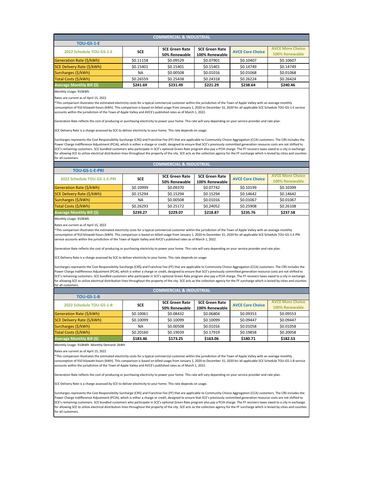Rates are current as of April 15, 2022

| <b>TOU-GS-1-E-PRI</b>            |            |                       |                       |                         |                         |
|----------------------------------|------------|-----------------------|-----------------------|-------------------------|-------------------------|
| 2022 Schedule TOU-GS-1-E-PRI     | <b>SCE</b> | <b>SCE Green Rate</b> | <b>SCE Green Rate</b> | <b>AVCE Core Choice</b> | <b>AVCE More Choice</b> |
|                                  |            | 50% Renewable         | 100% Renewable        |                         | 100% Renewable          |
| Generation Rate (\$/kWh)         | \$0.10999  | \$0.09370             | \$0.07742             | \$0.10199               | \$0.10399               |
| SCE Delivery Rate (\$/kWh)       | \$0.15294  | \$0.15294             | \$0.15294             | \$0.14642               | \$0.14642               |
| Surcharges (\$/kWh)              | <b>NA</b>  | \$0.00508             | \$0.01016             | \$0.01067               | \$0.01067               |
| Total Costs (\$/kWh)             | \$0.26293  | \$0.25172             | \$0.24052             | \$0.25908               | \$0.26108               |
| <b>Average Monthly Bill (\$)</b> | \$239.27   | \$229.07              | \$218.87              | \$235.76                | \$237.58                |

| <b>COMMERCIAL &amp; INDUSTRIAL</b> |            |                       |                       |                         |                         |  |  |  |
|------------------------------------|------------|-----------------------|-----------------------|-------------------------|-------------------------|--|--|--|
| <b>TOU-GS-1-E</b>                  |            |                       |                       |                         |                         |  |  |  |
| 2022 Schedule TOU-GS-1-E           | <b>SCE</b> | <b>SCE Green Rate</b> | <b>SCE Green Rate</b> | <b>AVCE Core Choice</b> | <b>AVCE More Choice</b> |  |  |  |
|                                    |            | 50% Renewable         | 100% Renewable        |                         | 100% Renewable          |  |  |  |
| Generation Rate (\$/kWh)           | \$0.11158  | \$0.09529             | \$0.07901             | \$0.10407               | \$0.10607               |  |  |  |
| SCE Delivery Rate (\$/kWh)         | \$0.15401  | \$0.15401             | \$0.15401             | \$0.14749               | \$0.14749               |  |  |  |
| Surcharges (\$/kWh)                | <b>NA</b>  | \$0.00508             | \$0.01016             | \$0.01068               | \$0.01068               |  |  |  |
| Total Costs (\$/kWh)               | \$0.26559  | \$0.25438             | \$0.24318             | \$0.26224               | \$0.26424               |  |  |  |
| <b>Average Monthly Bill (\$)</b>   | \$241.69   | \$231.49              | \$221.29              | \$238.64                | \$240.46                |  |  |  |

Monthly Usage: 910kWh

Rates are current as of April 15, 2022

| <b>TOU-GS-1-B</b>                |            |                       |                       |                         |                         |
|----------------------------------|------------|-----------------------|-----------------------|-------------------------|-------------------------|
| 2022 Schedule TOU-GS-1-B         | <b>SCE</b> | <b>SCE Green Rate</b> | <b>SCE Green Rate</b> | <b>AVCE Core Choice</b> | <b>AVCE More Choice</b> |
|                                  |            | 50% Renewable         | 100% Renewable        |                         | 100% Renewable          |
| Generation Rate (\$/kWh)         | \$0.10061  | \$0.08432             | \$0.06804             | \$0.09353               | \$0.09553               |
| SCE Delivery Rate (\$/kWh)       | \$0.10099  | \$0.10099             | \$0.10099             | \$0.09447               | \$0.09447               |
| Surcharges (\$/kWh)              | <b>NA</b>  | \$0.00508             | \$0.01016             | \$0.01058               | \$0.01058               |
| Total Costs (\$/kWh)             | \$0.20160  | \$0.19039             | \$0.17919             | \$0.19858               | \$0.20058               |
| <b>Average Monthly Bill (\$)</b> | \$183.46   | \$173.25              | \$163.06              | \$180.71                | \$182.53                |

Monthly Usage: 910kWh Monthly Demand: 2kWh

Rates are current as of April 15, 2022

\*This comparison illustrates the estimated electricity costs for a typical commercial customer within the jurisdiction of the Town of Apple Valley with an average monthly consumption of 910 kilowatt-hours (kWh). This comparison is based on billed usage from January 1, 2020 to December 31, 2020 for all applicable SCE Schedule TOU-GS-1-E service accounts within the jurisdiction of the Town of Apple Valley and AVCE's published rates as of March 1, 2022.

Surcharges represents the Cost Responsibility Surcharge (CRS) and Franchise Fee (FF) that are applicable to Community Choice Aggregation (CCA) customers. The CRS includes the Power Charge Indifference Adjustment (PCIA), which is either a charge or credit, designed to ensure that SCE's previously committed generation resource costs are not shifted to SCE's remaining customers. SCE bundled customers who participate in SCE's optional Green Rate program also pay a PCIA charge. The FF recovers taxes owed to a city in exchange for allowing SCE to utilize electrical distribution lines throughout the property of the city. SCE acts as the collection agency for the FF surcharge which is levied by cities and counties or all customers

Generation Rate reflects the cost of producing or purchasing electricity to power your home. This rate will vary depending on your service provider and rate plan.

SCE Delivery Rate is a charge assessed by SCE to deliver electricity to your home. This rate depends on usage.

Surcharges represents the Cost Responsibility Surcharge (CRS) and Franchise Fee (FF) that are applicable to Community Choice Aggregation (CCA) customers. The CRS includes the Power Charge Indifference Adjustment (PCIA), which is either a charge or credit, designed to ensure that SCE's previously committed generation resource costs are not shifted to SCE's remaining customers. SCE bundled customers who participate in SCE's optional Green Rate program also pay a PCIA charge. The FF recovers taxes owed to a city in exchange for allowing SCE to utilize electrical distribution lines throughout the property of the city. SCE acts as the collection agency for the FF surcharge which is levied by cities and counties for all customers.

## **COMMERCIAL & INDUSTRIAL**

\*This comparison illustrates the estimated electricity costs for a typical commercial customer within the jurisdiction of the Town of Apple Valley with an average monthly consumption of 910 kilowatt-hours (kWh). This comparison is based on billed usage from January 1, 2020 to December 31, 2020 for all applicable SCE Schedule TOU-GS-1-E-PRI service accounts within the jurisdiction of the Town of Apple Valley and AVCE's published rates as of March 1, 2022.

Generation Rate reflects the cost of producing or purchasing electricity to power your home. This rate will vary depending on your service provider and rate plan.

SCE Delivery Rate is a charge assessed by SCE to deliver electricity to your home. This rate depends on usage.

#### **COMMERCIAL & INDUSTRIAL**

\*This comparison illustrates the estimated electricity costs for a typical commercial customer within the jurisdiction of the Town of Apple Valley with an average monthly consumption of 910 kilowatt-hours (kWh). This comparison is based on billed usage from January 1, 2020 to December 31, 2020 for all applicable SCE Schedule TOU-GS-1-B service accounts within the jurisdiction of the Town of Apple Valley and AVCE's published rates as of March 1, 2022.

Generation Rate reflects the cost of producing or purchasing electricity to power your home. This rate will vary depending on your service provider and rate plan.

SCE Delivery Rate is a charge assessed by SCE to deliver electricity to your home. This rate depends on usage.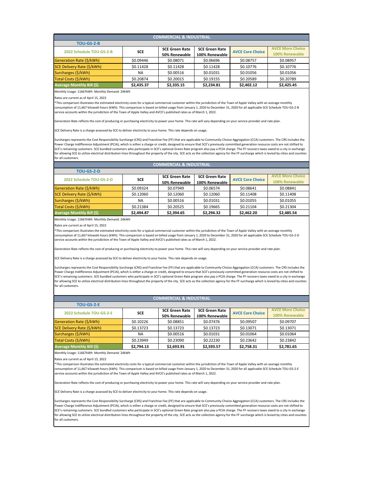Monthly Usage: 11667kWh Monthly Demand: 24kWh

Rates are current as of April 15, 2022

| <b>COMMERCIAL &amp; INDUSTRIAL</b> |            |                       |                       |                         |                         |  |  |  |
|------------------------------------|------------|-----------------------|-----------------------|-------------------------|-------------------------|--|--|--|
| <b>TOU-GS-2-B</b>                  |            |                       |                       |                         |                         |  |  |  |
| 2022 Schedule TOU-GS-2-B           | <b>SCE</b> | <b>SCE Green Rate</b> | <b>SCE Green Rate</b> | <b>AVCE Core Choice</b> | <b>AVCE More Choice</b> |  |  |  |
|                                    |            | 50% Renewable         | 100% Renewable        |                         | 100% Renewable          |  |  |  |
| Generation Rate (\$/kWh)           | \$0.09446  | \$0.08071             | \$0.06696             | \$0.08757               | \$0.08957               |  |  |  |
| SCE Delivery Rate (\$/kWh)         | \$0.11428  | \$0.11428             | \$0.11428             | \$0.10776               | \$0.10776               |  |  |  |
| Surcharges (\$/kWh)                | <b>NA</b>  | \$0.00516             | \$0.01031             | \$0.01056               | \$0.01056               |  |  |  |
| Total Costs (\$/kWh)               | \$0.20874  | \$0.20015             | \$0.19155             | \$0.20589               | \$0.20789               |  |  |  |
| <b>Average Monthly Bill (\$)</b>   | \$2,435.37 | \$2,335.15            | \$2,234.81            | \$2,402.12              | \$2,425.45              |  |  |  |

Monthly Usage: 11667kWh Monthly Demand: 24kWh

Rates are current as of April 15, 2022

Monthly Usage: 11667kWh Monthly Demand: 24kWh

Rates are current as of April 15, 2022

#### **TOU-GS-2-D 2022 Schedule TOU-GS-2-D SCE SCE Green Rate 50% Renewable SCE Green Rate 100% Renewable AVCE Core Choice AVCE More Choice 100% Renewable** Generation Rate (\$/kWh) | \$0.09324 | \$0.07949 | \$0.06574 | \$0.08641 | \$0.08841 SCE Delivery Rate (\$/kWh) \$0.12060 \$0.12060 \$0.12060 \$0.11408 \$0.11408 Surcharges (\$/kWh) | NA | \$0.00516 | \$0.01031 | \$0.01055 | \$0.01055 Total Costs (\$/kWh) | \$0.21384 | \$0.20525 | \$0.19665 | \$0.21104 | \$0.21304 **Average Monthly Bill (\$) \$2,494.87 \$2,394.65 \$2,294.32 \$2,462.20 \$2,485.54 COMMERCIAL & INDUSTRIAL**

\*This comparison illustrates the estimated electricity costs for a typical commercial customer within the jurisdiction of the Town of Apple Valley with an average monthly consumption of 11,667 kilowatt-hours (kWh). This comparison is based on billed usage from January 1, 2020 to December 31, 2020 for all applicable SCE Schedule TOU-GS-2-B service accounts within the jurisdiction of the Town of Apple Valley and AVCE's published rates as of March 1, 2022.

Generation Rate reflects the cost of producing or purchasing electricity to power your home. This rate will vary depending on your service provider and rate plan.

SCE Delivery Rate is a charge assessed by SCE to deliver electricity to your home. This rate depends on usage.

Surcharges represents the Cost Responsibility Surcharge (CRS) and Franchise Fee (FF) that are applicable to Community Choice Aggregation (CCA) customers. The CRS includes the Power Charge Indifference Adjustment (PCIA), which is either a charge or credit, designed to ensure that SCE's previously committed generation resource costs are not shifted to SCE's remaining customers. SCE bundled customers who participate in SCE's optional Green Rate program also pay a PCIA charge. The FF recovers taxes owed to a city in exchange for allowing SCE to utilize electrical distribution lines throughout the property of the city. SCE acts as the collection agency for the FF surcharge which is levied by cities and counties for all customers.

| <b>COMMERCIAL &amp; INDUSTRIAL</b> |            |                       |                       |                         |                         |  |  |  |  |
|------------------------------------|------------|-----------------------|-----------------------|-------------------------|-------------------------|--|--|--|--|
| <b>TOU-GS-2-E</b>                  |            |                       |                       |                         |                         |  |  |  |  |
| 2022 Schedule TOU-GS-2-E           | <b>SCE</b> | <b>SCE Green Rate</b> | <b>SCE Green Rate</b> | <b>AVCE Core Choice</b> | <b>AVCE More Choice</b> |  |  |  |  |
|                                    |            | 50% Renewable         | 100% Renewable        |                         | 100% Renewable          |  |  |  |  |
| Generation Rate (\$/kWh)           | \$0.10226  | \$0.08851             | \$0.07476             | \$0.09507               | \$0.09707               |  |  |  |  |
| SCE Delivery Rate (\$/kWh)         | \$0.13723  | \$0.13723             | \$0.13723             | \$0.13071               | \$0.13071               |  |  |  |  |
| Surcharges (\$/kWh)                | <b>NA</b>  | \$0.00516             | \$0.01031             | \$0.01064               | \$0.01064               |  |  |  |  |
| Total Costs (\$/kWh)               | \$0.23949  | \$0.23090             | \$0.22230             | \$0.23642               | \$0.23842               |  |  |  |  |
| <b>Average Monthly Bill (\$)</b>   | \$2,794.13 | \$2,693.91            | \$2,593.57            | \$2,758.31              | \$2,781.65              |  |  |  |  |

\*This comparison illustrates the estimated electricity costs for a typical commercial customer within the jurisdiction of the Town of Apple Valley with an average monthly consumption of 11,667 kilowatt-hours (kWh). This comparison is based on billed usage from January 1, 2020 to December 31, 2020 for all applicable SCE Schedule TOU-GS-2-D service accounts within the jurisdiction of the Town of Apple Valley and AVCE's published rates as of March 1, 2022.

Generation Rate reflects the cost of producing or purchasing electricity to power your home. This rate will vary depending on your service provider and rate plan.

SCE Delivery Rate is a charge assessed by SCE to deliver electricity to your home. This rate depends on usage.

Surcharges represents the Cost Responsibility Surcharge (CRS) and Franchise Fee (FF) that are applicable to Community Choice Aggregation (CCA) customers. The CRS includes the Power Charge Indifference Adjustment (PCIA), which is either a charge or credit, designed to ensure that SCE's previously committed generation resource costs are not shifted to SCE's remaining customers. SCE bundled customers who participate in SCE's optional Green Rate program also pay a PCIA charge. The FF recovers taxes owed to a city in exchange for allowing SCE to utilize electrical distribution lines throughout the property of the city. SCE acts as the collection agency for the FF surcharge which is levied by cities and counties for all customers.

\*This comparison illustrates the estimated electricity costs for a typical commercial customer within the jurisdiction of the Town of Apple Valley with an average monthly consumption of 11,667 kilowatt-hours (kWh). This comparison is based on billed usage from January 1, 2020 to December 31, 2020 for all applicable SCE Schedule TOU-GS-2-E service accounts within the jurisdiction of the Town of Apple Valley and AVCE's published rates as of March 1, 2022.

Generation Rate reflects the cost of producing or purchasing electricity to power your home. This rate will vary depending on your service provider and rate plan.

SCE Delivery Rate is a charge assessed by SCE to deliver electricity to your home. This rate depends on usage.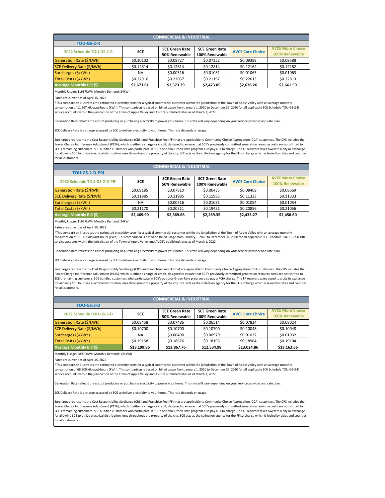Monthly Usage: 11667kWh Monthly Demand: 24kWh

Rates are current as of April 15, 2022

| <b>COMMERCIAL &amp; INDUSTRIAL</b> |            |                       |                       |                         |                         |  |  |  |
|------------------------------------|------------|-----------------------|-----------------------|-------------------------|-------------------------|--|--|--|
| <b>TOU-GS-2-R</b>                  |            |                       |                       |                         |                         |  |  |  |
| 2022 Schedule TOU-GS-2-R           | <b>SCE</b> | <b>SCE Green Rate</b> | <b>SCE Green Rate</b> | <b>AVCE Core Choice</b> | <b>AVCE More Choice</b> |  |  |  |
|                                    |            | 50% Renewable         | 100% Renewable        |                         | 100% Renewable          |  |  |  |
| Generation Rate (\$/kWh)           | \$0.10102  | \$0.08727             | \$0.07352             | \$0.09388               | \$0.09588               |  |  |  |
| SCE Delivery Rate (\$/kWh)         | \$0.12814  | \$0.12814             | \$0.12814             | \$0.12162               | \$0.12162               |  |  |  |
| Surcharges (\$/kWh)                | <b>NA</b>  | \$0.00516             | \$0.01031             | \$0.01063               | \$0.01063               |  |  |  |
| Total Costs (\$/kWh)               | \$0.22916  | \$0.22057             | \$0.21197             | \$0.22613               | \$0.22813               |  |  |  |
| <b>Average Monthly Bill (\$)</b>   | \$2,673.61 | \$2,573.39            | \$2,473.05            | \$2,638.26              | \$2,661.59              |  |  |  |

Monthly Usage: 11667kWh Monthly Demand: 24kWh

Rates are current as of April 15, 2022

Monthly Usage: 68900kWh Monthly Demand: 135kWh

Rates are current as of April 15, 2022

| <b>COMMERCIAL &amp; INDUSTRIAL</b> |            |                       |                       |                         |                         |  |  |  |
|------------------------------------|------------|-----------------------|-----------------------|-------------------------|-------------------------|--|--|--|
| <b>TOU-GS-2-D-PRI</b>              |            |                       |                       |                         |                         |  |  |  |
| 2022 Schedule TOU-GS-2-D-PRI       | <b>SCE</b> | <b>SCE Green Rate</b> | <b>SCE Green Rate</b> | <b>AVCE Core Choice</b> | <b>AVCE More Choice</b> |  |  |  |
|                                    |            | 50% Renewable         | 100% Renewable        |                         | 100% Renewable          |  |  |  |
| Generation Rate (\$/kWh)           | \$0.09185  | \$0.07810             | \$0.06435             | \$0.08469               | \$0.08669               |  |  |  |
| SCE Delivery Rate (\$/kWh)         | \$0.11985  | \$0.11985             | \$0.11985             | \$0.11333               | \$0.11333               |  |  |  |
| Surcharges (\$/kWh)                | <b>NA</b>  | \$0.00516             | \$0.01031             | \$0.01054               | \$0.01054               |  |  |  |
| Total Costs (\$/kWh)               | \$0.21170  | \$0.20311             | \$0.19451             | \$0.20856               | \$0.21056               |  |  |  |
| <b>Average Monthly Bill (\$)</b>   | \$2,469.90 | \$2,369.68            | \$2,269.35            | \$2,433.27              | \$2,456.60              |  |  |  |

\*This comparison illustrates the estimated electricity costs for a typical commercial customer within the jurisdiction of the Town of Apple Valley with an average monthly consumption of 11,667 kilowatt-hours (kWh). This comparison is based on billed usage from January 1, 2020 to December 31, 2020 for all applicable SCE Schedule TOU-GS-2-R service accounts within the jurisdiction of the Town of Apple Valley and AVCE's published rates as of March 1, 2022.

Generation Rate reflects the cost of producing or purchasing electricity to power your home. This rate will vary depending on your service provider and rate plan.

SCE Delivery Rate is a charge assessed by SCE to deliver electricity to your home. This rate depends on usage.

Surcharges represents the Cost Responsibility Surcharge (CRS) and Franchise Fee (FF) that are applicable to Community Choice Aggregation (CCA) customers. The CRS includes the Power Charge Indifference Adjustment (PCIA), which is either a charge or credit, designed to ensure that SCE's previously committed generation resource costs are not shifted to SCE's remaining customers. SCE bundled customers who participate in SCE's optional Green Rate program also pay a PCIA charge. The FF recovers taxes owed to a city in exchange for allowing SCE to utilize electrical distribution lines throughout the property of the city. SCE acts as the collection agency for the FF surcharge which is levied by cities and counties for all customers.

| <b>COMMERCIAL &amp; INDUSTRIAL</b> |             |                       |                       |                         |                         |  |  |  |
|------------------------------------|-------------|-----------------------|-----------------------|-------------------------|-------------------------|--|--|--|
| <b>TOU-GS-3-D</b>                  |             |                       |                       |                         |                         |  |  |  |
| 2022 Schedule TOU-GS-3-D           | <b>SCE</b>  | <b>SCE Green Rate</b> | <b>SCE Green Rate</b> | <b>AVCE Core Choice</b> | <b>AVCE More Choice</b> |  |  |  |
|                                    |             | 50% Renewable         | 100% Renewable        |                         | 100% Renewable          |  |  |  |
| Generation Rate (\$/kWh)           | \$0.08458   | \$0.07486             | \$0.06514             | \$0.07824               | \$0.08024               |  |  |  |
| SCE Delivery Rate (\$/kWh)         | \$0.10700   | \$0.10700             | \$0.10700             | \$0.10048               | \$0.10048               |  |  |  |
| Surcharges (\$/kWh)                | <b>NA</b>   | \$0.00490             | \$0.00979             | \$0.01032               | \$0.01032               |  |  |  |
| Total Costs (\$/kWh)               | \$0.19158   | \$0.18676             | \$0.18193             | \$0.18904               | \$0.19104               |  |  |  |
| <b>Average Monthly Bill (\$)</b>   | \$13,199.86 | \$12,867.76           | \$12,534.98           | \$13,024.86             | \$13,162.66             |  |  |  |

\*This comparison illustrates the estimated electricity costs for a typical commercial customer within the jurisdiction of the Town of Apple Valley with an average monthly consumption of 11,667 kilowatt-hours (kWh). This comparison is based on billed usage from January 1, 2020 to December 31, 2020 for all applicable SCE Schedule TOU-GS-2-D-PRI service accounts within the jurisdiction of the Town of Apple Valley and AVCE's published rates as of March 1, 2022.

Generation Rate reflects the cost of producing or purchasing electricity to power your home. This rate will vary depending on your service provider and rate plan.

SCE Delivery Rate is a charge assessed by SCE to deliver electricity to your home. This rate depends on usage.

Surcharges represents the Cost Responsibility Surcharge (CRS) and Franchise Fee (FF) that are applicable to Community Choice Aggregation (CCA) customers. The CRS includes the Power Charge Indifference Adjustment (PCIA), which is either a charge or credit, designed to ensure that SCE's previously committed generation resource costs are not shifted to SCE's remaining customers. SCE bundled customers who participate in SCE's optional Green Rate program also pay a PCIA charge. The FF recovers taxes owed to a city in exchange for allowing SCE to utilize electrical distribution lines throughout the property of the city. SCE acts as the collection agency for the FF surcharge which is levied by cities and counties for all customers.

\*This comparison illustrates the estimated electricity costs for a typical commercial customer within the jurisdiction of the Town of Apple Valley with an average monthly consumption of 68,900 kilowatt-hours (kWh). This comparison is based on billed usage from January 1, 2020 to December 31, 2020 for all applicable SCE Schedule TOU-GS-3-D service accounts within the jurisdiction of the Town of Apple Valley and AVCE's published rates as of March 1, 2022.

Generation Rate reflects the cost of producing or purchasing electricity to power your home. This rate will vary depending on your service provider and rate plan.

SCE Delivery Rate is a charge assessed by SCE to deliver electricity to your home. This rate depends on usage.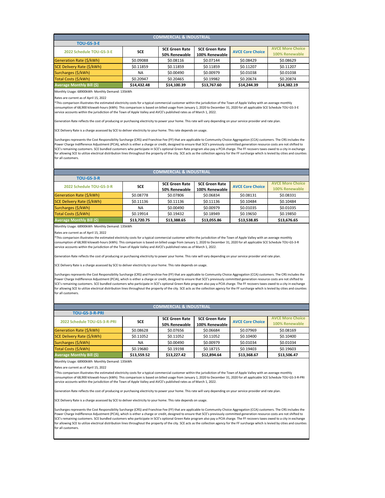Monthly Usage: 68900kWh Monthly Demand: 135kWh

Rates are current as of April 15, 2022

| <b>TOU-GS-3-R</b>                |             |                       |                       |                         |                         |
|----------------------------------|-------------|-----------------------|-----------------------|-------------------------|-------------------------|
| 2022 Schedule TOU-GS-3-R         | <b>SCE</b>  | <b>SCE Green Rate</b> | <b>SCE Green Rate</b> | <b>AVCE Core Choice</b> | <b>AVCE More Choice</b> |
|                                  |             | 50% Renewable         | 100% Renewable        |                         | 100% Renewable          |
| Generation Rate (\$/kWh)         | \$0.08778   | \$0.07806             | \$0.06834             | \$0.08131               | \$0.08331               |
| SCE Delivery Rate (\$/kWh)       | \$0.11136   | \$0.11136             | \$0.11136             | \$0.10484               | \$0.10484               |
| Surcharges (\$/kWh)              | NA.         | \$0.00490             | \$0.00979             | \$0.01035               | \$0.01035               |
| Total Costs (\$/kWh)             | \$0.19914   | \$0.19432             | \$0.18949             | \$0.19650               | \$0.19850               |
| <b>Average Monthly Bill (\$)</b> | \$13,720.75 | \$13,388.65           | \$13,055.86           | \$13,538.85             | \$13,676.65             |

| <b>COMMERCIAL &amp; INDUSTRIAL</b> |             |                       |                       |                         |                         |  |  |  |
|------------------------------------|-------------|-----------------------|-----------------------|-------------------------|-------------------------|--|--|--|
| <b>TOU-GS-3-E</b>                  |             |                       |                       |                         |                         |  |  |  |
| 2022 Schedule TOU-GS-3-E           | <b>SCE</b>  | <b>SCE Green Rate</b> | <b>SCE Green Rate</b> | <b>AVCE Core Choice</b> | <b>AVCE More Choice</b> |  |  |  |
|                                    |             | 50% Renewable         | 100% Renewable        |                         | 100% Renewable          |  |  |  |
| Generation Rate (\$/kWh)           | \$0.09088   | \$0.08116             | \$0.07144             | \$0.08429               | \$0.08629               |  |  |  |
| SCE Delivery Rate (\$/kWh)         | \$0.11859   | \$0.11859             | \$0.11859             | \$0.11207               | \$0.11207               |  |  |  |
| Surcharges (\$/kWh)                | <b>NA</b>   | \$0.00490             | \$0.00979             | \$0.01038               | \$0.01038               |  |  |  |
| Total Costs (\$/kWh)               | \$0.20947   | \$0.20465             | \$0.19982             | \$0.20674               | \$0.20874               |  |  |  |
| <b>Average Monthly Bill (\$)</b>   | \$14,432.48 | \$14,100.39           | \$13,767.60           | \$14,244.39             | \$14,382.19             |  |  |  |

Monthly Usage: 68900kWh Monthly Demand: 135kWh

Rates are current as of April 15, 2022

Monthly Usage: 68900kWh Monthly Demand: 135kWh

Rates are current as of April 15, 2022

\*This comparison illustrates the estimated electricity costs for a typical commercial customer within the jurisdiction of the Town of Apple Valley with an average monthly consumption of 68,900 kilowatt-hours (kWh). This comparison is based on billed usage from January 1, 2020 to December 31, 2020 for all applicable SCE Schedule TOU-GS-3-E service accounts within the jurisdiction of the Town of Apple Valley and AVCE's published rates as of March 1, 2022.

Generation Rate reflects the cost of producing or purchasing electricity to power your home. This rate will vary depending on your service provider and rate plan.

SCE Delivery Rate is a charge assessed by SCE to deliver electricity to your home. This rate depends on usage.

Surcharges represents the Cost Responsibility Surcharge (CRS) and Franchise Fee (FF) that are applicable to Community Choice Aggregation (CCA) customers. The CRS includes the Power Charge Indifference Adjustment (PCIA), which is either a charge or credit, designed to ensure that SCE's previously committed generation resource costs are not shifted to SCE's remaining customers. SCE bundled customers who participate in SCE's optional Green Rate program also pay a PCIA charge. The FF recovers taxes owed to a city in exchange for allowing SCE to utilize electrical distribution lines throughout the property of the city. SCE acts as the collection agency for the FF surcharge which is levied by cities and counties for all customers.

| <b>COMMERCIAL &amp; INDUSTRIAL</b> |             |                       |                       |                         |                         |  |  |  |
|------------------------------------|-------------|-----------------------|-----------------------|-------------------------|-------------------------|--|--|--|
| <b>TOU-GS-3-R-PRI</b>              |             |                       |                       |                         |                         |  |  |  |
| 2022 Schedule TOU-GS-3-R-PRI       | <b>SCE</b>  | <b>SCE Green Rate</b> | <b>SCE Green Rate</b> | <b>AVCE Core Choice</b> | <b>AVCE More Choice</b> |  |  |  |
|                                    |             | 50% Renewable         | 100% Renewable        |                         | 100% Renewable          |  |  |  |
| Generation Rate (\$/kWh)           | \$0.08628   | \$0.07656             | \$0.06684             | \$0.07969               | \$0.08169               |  |  |  |
| SCE Delivery Rate (\$/kWh)         | \$0.11052   | \$0.11052             | \$0.11052             | \$0.10400               | \$0.10400               |  |  |  |
| Surcharges (\$/kWh)                | <b>NA</b>   | \$0.00490             | \$0.00979             | \$0.01034               | \$0.01034               |  |  |  |
| Total Costs (\$/kWh)               | \$0.19680   | \$0.19198             | \$0.18715             | \$0.19403               | \$0.19603               |  |  |  |
| <b>Average Monthly Bill (\$)</b>   | \$13,559.52 | \$13,227.42           | \$12,894.64           | \$13,368.67             | \$13,506.47             |  |  |  |
|                                    |             |                       |                       |                         |                         |  |  |  |

## **COMMERCIAL & INDUSTRIAL**

\*This comparison illustrates the estimated electricity costs for a typical commercial customer within the jurisdiction of the Town of Apple Valley with an average monthly consumption of 68,900 kilowatt-hours (kWh). This comparison is based on billed usage from January 1, 2020 to December 31, 2020 for all applicable SCE Schedule TOU-GS-3-R service accounts within the jurisdiction of the Town of Apple Valley and AVCE's published rates as of March 1, 2022.

Generation Rate reflects the cost of producing or purchasing electricity to power your home. This rate will vary depending on your service provider and rate plan.

SCE Delivery Rate is a charge assessed by SCE to deliver electricity to your home. This rate depends on usage.

Surcharges represents the Cost Responsibility Surcharge (CRS) and Franchise Fee (FF) that are applicable to Community Choice Aggregation (CCA) customers. The CRS includes the Power Charge Indifference Adjustment (PCIA), which is either a charge or credit, designed to ensure that SCE's previously committed generation resource costs are not shifted to SCE's remaining customers. SCE bundled customers who participate in SCE's optional Green Rate program also pay a PCIA charge. The FF recovers taxes owed to a city in exchange for allowing SCE to utilize electrical distribution lines throughout the property of the city. SCE acts as the collection agency for the FF surcharge which is levied by cities and counties for all customers.

\*This comparison illustrates the estimated electricity costs for a typical commercial customer within the jurisdiction of the Town of Apple Valley with an average monthly consumption of 68,900 kilowatt-hours (kWh). This comparison is based on billed usage from January 1, 2020 to December 31, 2020 for all applicable SCE Schedule TOU-GS-3-R-PRI service accounts within the jurisdiction of the Town of Apple Valley and AVCE's published rates as of March 1, 2022.

Generation Rate reflects the cost of producing or purchasing electricity to power your home. This rate will vary depending on your service provider and rate plan.

SCE Delivery Rate is a charge assessed by SCE to deliver electricity to your home. This rate depends on usage.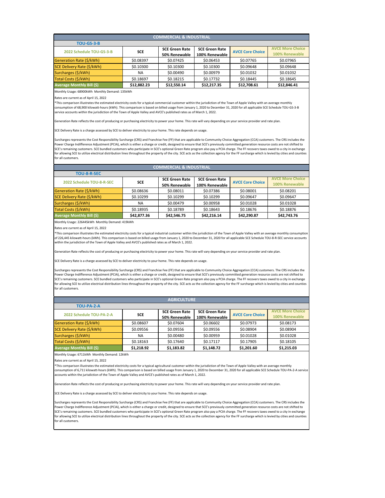Monthly Usage: 68900kWh Monthly Demand: 135kWh

Rates are current as of April 15, 2022

| <b>COMMERCIAL &amp; INDUSTRIAL</b> |             |                       |                       |                         |                         |  |  |  |
|------------------------------------|-------------|-----------------------|-----------------------|-------------------------|-------------------------|--|--|--|
| <b>TOU-GS-3-B</b>                  |             |                       |                       |                         |                         |  |  |  |
| 2022 Schedule TOU-GS-3-B           | <b>SCE</b>  | <b>SCE Green Rate</b> | <b>SCE Green Rate</b> | <b>AVCE Core Choice</b> | <b>AVCE More Choice</b> |  |  |  |
|                                    |             | 50% Renewable         | 100% Renewable        |                         | 100% Renewable          |  |  |  |
| Generation Rate (\$/kWh)           | \$0.08397   | \$0.07425             | \$0.06453             | \$0.07765               | \$0.07965               |  |  |  |
| SCE Delivery Rate (\$/kWh)         | \$0.10300   | \$0.10300             | \$0.10300             | \$0.09648               | \$0.09648               |  |  |  |
| Surcharges (\$/kWh)                | <b>NA</b>   | \$0.00490             | \$0.00979             | \$0.01032               | \$0.01032               |  |  |  |
| Total Costs (\$/kWh)               | \$0.18697   | \$0.18215             | \$0.17732             | \$0.18445               | \$0.18645               |  |  |  |
| <b>Average Monthly Bill (\$)</b>   | \$12,882.23 | \$12,550.14           | \$12,217.35           | \$12,708.61             | \$12,846.41             |  |  |  |

Monthly Usage: 226445kWh Monthly Demand: 419kWh

Rates are current as of April 15, 2022

Monthly Usage: 6711kWh Monthly Demand: 12kWh

Rates are current as of April 15, 2022

| <b>COMMERCIAL &amp; INDUSTRIAL</b> |             |                       |                       |                         |                         |  |  |  |
|------------------------------------|-------------|-----------------------|-----------------------|-------------------------|-------------------------|--|--|--|
| <b>TOU-8-R-SEC</b>                 |             |                       |                       |                         |                         |  |  |  |
| 2022 Schedule TOU-8-R-SEC          | <b>SCE</b>  | <b>SCE Green Rate</b> | <b>SCE Green Rate</b> | <b>AVCE Core Choice</b> | <b>AVCE More Choice</b> |  |  |  |
|                                    |             | 50% Renewable         | 100% Renewable        |                         | 100% Renewable          |  |  |  |
| Generation Rate (\$/kWh)           | \$0.08636   | \$0.08011             | \$0.07386             | \$0.08001               | \$0.08201               |  |  |  |
| SCE Delivery Rate (\$/kWh)         | \$0.10299   | \$0.10299             | \$0.10299             | \$0.09647               | \$0.09647               |  |  |  |
| Surcharges (\$/kWh)                | <b>NA</b>   | \$0.00479             | \$0.00958             | \$0.01028               | \$0.01028               |  |  |  |
| Total Costs (\$/kWh)               | \$0.18935   | \$0.18789             | \$0.18643             | \$0.18676               | \$0.18876               |  |  |  |
| <b>Average Monthly Bill (\$)</b>   | \$42,877.36 | \$42,546.75           | \$42,216.14           | \$42,290.87             | \$42,743.76             |  |  |  |

\*This comparison illustrates the estimated electricity costs for a typical commercial customer within the jurisdiction of the Town of Apple Valley with an average monthly consumption of 68,900 kilowatt-hours (kWh). This comparison is based on billed usage from January 1, 2020 to December 31, 2020 for all applicable SCE Schedule TOU-GS-3-B service accounts within the jurisdiction of the Town of Apple Valley and AVCE's published rates as of March 1, 2022.

Generation Rate reflects the cost of producing or purchasing electricity to power your home. This rate will vary depending on your service provider and rate plan.

SCE Delivery Rate is a charge assessed by SCE to deliver electricity to your home. This rate depends on usage.

Surcharges represents the Cost Responsibility Surcharge (CRS) and Franchise Fee (FF) that are applicable to Community Choice Aggregation (CCA) customers. The CRS includes the Power Charge Indifference Adjustment (PCIA), which is either a charge or credit, designed to ensure that SCE's previously committed generation resource costs are not shifted to SCE's remaining customers. SCE bundled customers who participate in SCE's optional Green Rate program also pay a PCIA charge. The FF recovers taxes owed to a city in exchange for allowing SCE to utilize electrical distribution lines throughout the property of the city. SCE acts as the collection agency for the FF surcharge which is levied by cities and counties for all customers.

| <b>AGRICULTURE</b>               |            |                       |                       |                         |                         |  |  |  |  |
|----------------------------------|------------|-----------------------|-----------------------|-------------------------|-------------------------|--|--|--|--|
| TOU-PA-2-A                       |            |                       |                       |                         |                         |  |  |  |  |
| 2022 Schedule TOU-PA-2-A         | <b>SCE</b> | <b>SCE Green Rate</b> | <b>SCE Green Rate</b> | <b>AVCE Core Choice</b> | <b>AVCE More Choice</b> |  |  |  |  |
|                                  |            | 50% Renewable         | 100% Renewable        |                         | 100% Renewable          |  |  |  |  |
| Generation Rate (\$/kWh)         | \$0.08607  | \$0.07604             | \$0.06602             | \$0.07973               | \$0.08173               |  |  |  |  |
| SCE Delivery Rate (\$/kWh)       | \$0.09556  | \$0.09556             | \$0.09556             | \$0.08904               | \$0.08904               |  |  |  |  |
| Surcharges (\$/kWh)              | <b>NA</b>  | \$0.00480             | \$0.00959             | \$0.01028               | \$0.01028               |  |  |  |  |
| Total Costs (\$/kWh)             | \$0.18163  | \$0.17640             | \$0.17117             | \$0.17905               | \$0.18105               |  |  |  |  |
| <b>Average Monthly Bill (\$)</b> | \$1,218.92 | \$1,183.82            | \$1,148.72            | \$1,201.60              | \$1,215.03              |  |  |  |  |

\*This comparison illustrates the estimated electricity costs for a typical industrial customer within the jurisdiction of the Town of Apple Valley with an average monthly consumption of 226,445 kilowatt-hours (kWh). This comparison is based on billed usage from January 1, 2020 to December 31, 2020 for all applicable SCE Schedule TOU-8-R-SEC service accounts within the jurisdiction of the Town of Apple Valley and AVCE's published rates as of March 1, 2022.

Generation Rate reflects the cost of producing or purchasing electricity to power your home. This rate will vary depending on your service provider and rate plan.

SCE Delivery Rate is a charge assessed by SCE to deliver electricity to your home. This rate depends on usage.

Surcharges represents the Cost Responsibility Surcharge (CRS) and Franchise Fee (FF) that are applicable to Community Choice Aggregation (CCA) customers. The CRS includes the Power Charge Indifference Adjustment (PCIA), which is either a charge or credit, designed to ensure that SCE's previously committed generation resource costs are not shifted to SCE's remaining customers. SCE bundled customers who participate in SCE's optional Green Rate program also pay a PCIA charge. The FF recovers taxes owed to a city in exchange for allowing SCE to utilize electrical distribution lines throughout the property of the city. SCE acts as the collection agency for the FF surcharge which is levied by cities and counties for all customers.

\*This comparison illustrates the estimated electricity costs for a typical agricultural customer within the jurisdiction of the Town of Apple Valley with an average monthly consumption of 6,711 kilowatt-hours (kWh). This comparison is based on billed usage from January 1, 2020 to December 31, 2020 for all applicable SCE Schedule TOU-PA-2-A service accounts within the jurisdiction of the Town of Apple Valley and AVCE's published rates as of March 1, 2022.

Generation Rate reflects the cost of producing or purchasing electricity to power your home. This rate will vary depending on your service provider and rate plan.

SCE Delivery Rate is a charge assessed by SCE to deliver electricity to your home. This rate depends on usage.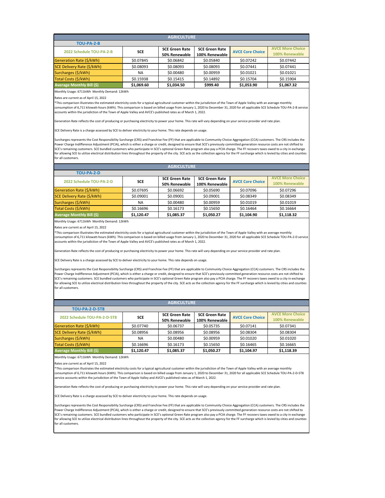Monthly Usage: 6711kWh Monthly Demand: 12kWh

Rates are current as of April 15, 2022

| <b>AGRICULTURE</b>               |            |                       |                       |                         |                         |  |  |  |
|----------------------------------|------------|-----------------------|-----------------------|-------------------------|-------------------------|--|--|--|
| TOU-PA-2-B                       |            |                       |                       |                         |                         |  |  |  |
| 2022 Schedule TOU-PA-2-B         | <b>SCE</b> | <b>SCE Green Rate</b> | <b>SCE Green Rate</b> | <b>AVCE Core Choice</b> | <b>AVCE More Choice</b> |  |  |  |
|                                  |            | 50% Renewable         | 100% Renewable        |                         | 100% Renewable          |  |  |  |
| Generation Rate (\$/kWh)         | \$0.07845  | \$0.06842             | \$0.05840             | \$0.07242               | \$0.07442               |  |  |  |
| SCE Delivery Rate (\$/kWh)       | \$0.08093  | \$0.08093             | \$0.08093             | \$0.07441               | \$0.07441               |  |  |  |
| Surcharges (\$/kWh)              | <b>NA</b>  | \$0.00480             | \$0.00959             | \$0.01021               | \$0.01021               |  |  |  |
| Total Costs (\$/kWh)             | \$0.15938  | \$0.15415             | \$0.14892             | \$0.15704               | \$0.15904               |  |  |  |
| <b>Average Monthly Bill (\$)</b> | \$1,069.60 | \$1,034.50            | \$999.40              | \$1,053.90              | \$1,067.32              |  |  |  |

Monthly Usage: 6711kWh Monthly Demand: 12kWh

Rates are current as of April 15, 2022

Monthly Usage: 6711kWh Monthly Demand: 12kWh

Rates are current as of April 15, 2022

| <b>AGRICULTURE</b>               |            |                       |                       |                         |                         |  |  |  |
|----------------------------------|------------|-----------------------|-----------------------|-------------------------|-------------------------|--|--|--|
| TOU-PA-2-D                       |            |                       |                       |                         |                         |  |  |  |
| 2022 Schedule TOU-PA-2-D         | <b>SCE</b> | <b>SCE Green Rate</b> | <b>SCE Green Rate</b> | <b>AVCE Core Choice</b> | <b>AVCE More Choice</b> |  |  |  |
|                                  |            | 50% Renewable         | 100% Renewable        |                         | 100% Renewable          |  |  |  |
| Generation Rate (\$/kWh)         | \$0.07695  | \$0.06692             | \$0.05690             | \$0.07096               | \$0.07296               |  |  |  |
| SCE Delivery Rate (\$/kWh)       | \$0.09001  | \$0.09001             | \$0.09001             | \$0.08349               | \$0.08349               |  |  |  |
| Surcharges (\$/kWh)              | <b>NA</b>  | \$0.00480             | \$0.00959             | \$0.01019               | \$0.01019               |  |  |  |
| Total Costs (\$/kWh)             | \$0.16696  | \$0.16173             | \$0.15650             | \$0.16464               | \$0.16664               |  |  |  |
| <b>Average Monthly Bill (\$)</b> | \$1,120.47 | \$1,085.37            | \$1,050.27            | \$1,104.90              | \$1,118.32              |  |  |  |

\*This comparison illustrates the estimated electricity costs for a typical agricultural customer within the jurisdiction of the Town of Apple Valley with an average monthly consumption of 6,711 kilowatt-hours (kWh). This comparison is based on billed usage from January 1, 2020 to December 31, 2020 for all applicable SCE Schedule TOU-PA-2-B service accounts within the jurisdiction of the Town of Apple Valley and AVCE's published rates as of March 1, 2022.

Generation Rate reflects the cost of producing or purchasing electricity to power your home. This rate will vary depending on your service provider and rate plan.

SCE Delivery Rate is a charge assessed by SCE to deliver electricity to your home. This rate depends on usage.

Surcharges represents the Cost Responsibility Surcharge (CRS) and Franchise Fee (FF) that are applicable to Community Choice Aggregation (CCA) customers. The CRS includes the Power Charge Indifference Adjustment (PCIA), which is either a charge or credit, designed to ensure that SCE's previously committed generation resource costs are not shifted to SCE's remaining customers. SCE bundled customers who participate in SCE's optional Green Rate program also pay a PCIA charge. The FF recovers taxes owed to a city in exchange for allowing SCE to utilize electrical distribution lines throughout the property of the city. SCE acts as the collection agency for the FF surcharge which is levied by cities and counties for all customers.

| <b>AGRICULTURE</b>               |            |                       |                       |                         |                         |  |  |  |
|----------------------------------|------------|-----------------------|-----------------------|-------------------------|-------------------------|--|--|--|
| <b>TOU-PA-2-D-5T8</b>            |            |                       |                       |                         |                         |  |  |  |
| 2022 Schedule TOU-PA-2-D-5T8     | <b>SCE</b> | <b>SCE Green Rate</b> | <b>SCE Green Rate</b> | <b>AVCE Core Choice</b> | <b>AVCE More Choice</b> |  |  |  |
|                                  |            | 50% Renewable         | 100% Renewable        |                         | 100% Renewable          |  |  |  |
| Generation Rate (\$/kWh)         | \$0.07740  | \$0.06737             | \$0.05735             | \$0.07141               | \$0.07341               |  |  |  |
| SCE Delivery Rate (\$/kWh)       | \$0.08956  | \$0.08956             | \$0.08956             | \$0.08304               | \$0.08304               |  |  |  |
| Surcharges (\$/kWh)              | <b>NA</b>  | \$0.00480             | \$0.00959             | \$0.01020               | \$0.01020               |  |  |  |
| Total Costs (\$/kWh)             | \$0.16696  | \$0.16173             | \$0.15650             | \$0.16465               | \$0.16665               |  |  |  |
| <b>Average Monthly Bill (\$)</b> | \$1,120.47 | \$1,085.37            | \$1,050.27            | \$1,104.97              | \$1,118.39              |  |  |  |

\*This comparison illustrates the estimated electricity costs for a typical agricultural customer within the jurisdiction of the Town of Apple Valley with an average monthly consumption of 6,711 kilowatt-hours (kWh). This comparison is based on billed usage from January 1, 2020 to December 31, 2020 for all applicable SCE Schedule TOU-PA-2-D service accounts within the jurisdiction of the Town of Apple Valley and AVCE's published rates as of March 1, 2022.

Generation Rate reflects the cost of producing or purchasing electricity to power your home. This rate will vary depending on your service provider and rate plan.

SCE Delivery Rate is a charge assessed by SCE to deliver electricity to your home. This rate depends on usage.

Surcharges represents the Cost Responsibility Surcharge (CRS) and Franchise Fee (FF) that are applicable to Community Choice Aggregation (CCA) customers. The CRS includes the Power Charge Indifference Adjustment (PCIA), which is either a charge or credit, designed to ensure that SCE's previously committed generation resource costs are not shifted to SCE's remaining customers. SCE bundled customers who participate in SCE's optional Green Rate program also pay a PCIA charge. The FF recovers taxes owed to a city in exchange for allowing SCE to utilize electrical distribution lines throughout the property of the city. SCE acts as the collection agency for the FF surcharge which is levied by cities and counties for all customers.

\*This comparison illustrates the estimated electricity costs for a typical agricultural customer within the jurisdiction of the Town of Apple Valley with an average monthly consumption of 6,711 kilowatt-hours (kWh). This comparison is based on billed usage from January 1, 2020 to December 31, 2020 for all applicable SCE Schedule TOU-PA-2-D-5T8 service accounts within the jurisdiction of the Town of Apple Valley and AVCE's published rates as of March 1, 2022.

Generation Rate reflects the cost of producing or purchasing electricity to power your home. This rate will vary depending on your service provider and rate plan.

SCE Delivery Rate is a charge assessed by SCE to deliver electricity to your home. This rate depends on usage.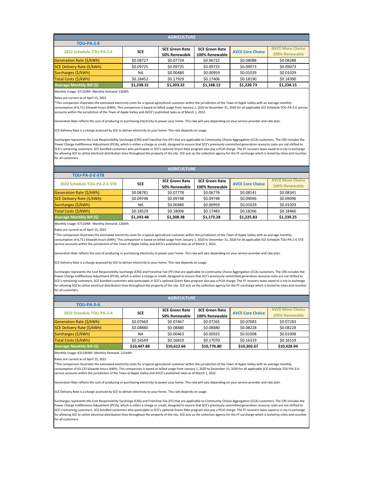Monthly Usage: 6711kWh Monthly Demand: 12kWh

Rates are current as of April 15, 2022

| <b>AGRICULTURE</b>                |            |                       |                       |                         |                         |  |  |  |
|-----------------------------------|------------|-----------------------|-----------------------|-------------------------|-------------------------|--|--|--|
| <b>TOU-PA-2-E</b>                 |            |                       |                       |                         |                         |  |  |  |
| 2022 Schedule TOU-PA-2-E          | <b>SCE</b> | <b>SCE Green Rate</b> | <b>SCE Green Rate</b> | <b>AVCE Core Choice</b> | <b>AVCE More Choice</b> |  |  |  |
|                                   |            | 50% Renewable         | 100% Renewable        |                         | 100% Renewable          |  |  |  |
| Generation Rate (\$/kWh)          | \$0.08727  | \$0.07724             | \$0.06722             | \$0.08088               | \$0.08288               |  |  |  |
| <b>SCE Delivery Rate (\$/kWh)</b> | \$0.09725  | \$0.09725             | \$0.09725             | \$0.09073               | \$0.09073               |  |  |  |
| Surcharges (\$/kWh)               | <b>NA</b>  | \$0.00480             | \$0.00959             | \$0.01029               | \$0.01029               |  |  |  |
| Total Costs (\$/kWh)              | \$0.18452  | \$0.17929             | \$0.17406             | \$0.18190               | \$0.18390               |  |  |  |
| <b>Average Monthly Bill (\$)</b>  | \$1,238.31 | \$1,203.22            | \$1,168.12            | \$1,220.73              | \$1,234.15              |  |  |  |

Monthly Usage: 6711kWh Monthly Demand: 12kWh

Rates are current as of April 15, 2022

Monthly Usage: 63133kWh Monthly Demand: 121kWh

Rates are current as of April 15, 2022

| <b>AGRICULTURE</b>               |            |                                        |                                         |                         |                                           |  |  |  |
|----------------------------------|------------|----------------------------------------|-----------------------------------------|-------------------------|-------------------------------------------|--|--|--|
| <b>TOU-PA-2-E-5T8</b>            |            |                                        |                                         |                         |                                           |  |  |  |
| 2022 Schedule TOU-PA-2-E-5T8     | <b>SCE</b> | <b>SCE Green Rate</b><br>50% Renewable | <b>SCE Green Rate</b><br>100% Renewable | <b>AVCE Core Choice</b> | <b>AVCE More Choice</b><br>100% Renewable |  |  |  |
| Generation Rate (\$/kWh)         | \$0.08781  | \$0.07778                              | \$0.06776                               | \$0.08141               | \$0.08341                                 |  |  |  |
| SCE Delivery Rate (\$/kWh)       | \$0.09748  | \$0.09748                              | \$0.09748                               | \$0.09096               | \$0.09096                                 |  |  |  |
| Surcharges (\$/kWh)              | <b>NA</b>  | \$0.00480                              | \$0.00959                               | \$0.01029               | \$0.01029                                 |  |  |  |
| Total Costs (\$/kWh)             | \$0.18529  | \$0.18006                              | \$0.17483                               | \$0.18266               | \$0.18466                                 |  |  |  |
| <b>Average Monthly Bill (\$)</b> | \$1,243.48 | \$1,208.38                             | \$1,173.28                              | \$1,225.83              | \$1,239.25                                |  |  |  |

\*This comparison illustrates the estimated electricity costs for a typical agricultural customer within the jurisdiction of the Town of Apple Valley with an average monthly consumption of 6,711 kilowatt-hours (kWh). This comparison is based on billed usage from January 1, 2020 to December 31, 2020 for all applicable SCE Schedule TOU-PA-2-E service accounts within the jurisdiction of the Town of Apple Valley and AVCE's published rates as of March 1, 2022.

Generation Rate reflects the cost of producing or purchasing electricity to power your home. This rate will vary depending on your service provider and rate plan.

SCE Delivery Rate is a charge assessed by SCE to deliver electricity to your home. This rate depends on usage.

Surcharges represents the Cost Responsibility Surcharge (CRS) and Franchise Fee (FF) that are applicable to Community Choice Aggregation (CCA) customers. The CRS includes the Power Charge Indifference Adjustment (PCIA), which is either a charge or credit, designed to ensure that SCE's previously committed generation resource costs are not shifted to SCE's remaining customers. SCE bundled customers who participate in SCE's optional Green Rate program also pay a PCIA charge. The FF recovers taxes owed to a city in exchange for allowing SCE to utilize electrical distribution lines throughout the property of the city. SCE acts as the collection agency for the FF surcharge which is levied by cities and counties for all customers.

| <b>AGRICULTURE</b>                |             |                       |                       |                         |                         |  |  |  |
|-----------------------------------|-------------|-----------------------|-----------------------|-------------------------|-------------------------|--|--|--|
| TOU-PA-3-A                        |             |                       |                       |                         |                         |  |  |  |
| 2022 Schedule TOU-PA-3-A          | <b>SCE</b>  | <b>SCE Green Rate</b> | <b>SCE Green Rate</b> | <b>AVCE Core Choice</b> | <b>AVCE More Choice</b> |  |  |  |
|                                   |             | 50% Renewable         | 100% Renewable        |                         | 100% Renewable          |  |  |  |
| Generation Rate (\$/kWh)          | \$0.07669   | \$0.07467             | \$0.07265             | \$0.07083               | \$0.07283               |  |  |  |
| <b>SCE Delivery Rate (\$/kWh)</b> | \$0.08880   | \$0.08880             | \$0.08880             | \$0.08228               | \$0.08228               |  |  |  |
| Surcharges (\$/kWh)               | <b>NA</b>   | \$0.00463             | \$0.00925             | \$0.01008               | \$0.01008               |  |  |  |
| Total Costs (\$/kWh)              | \$0.16549   | \$0.16810             | \$0.17070             | \$0.16319               | \$0.16519               |  |  |  |
| Average Monthly Bill (\$)         | \$10,447.88 | \$10,612.66           | \$10,776.80           | \$10,302.67             | \$10,428.94             |  |  |  |

\*This comparison illustrates the estimated electricity costs for a typical agricultural customer within the jurisdiction of the Town of Apple Valley with an average monthly consumption of 6,711 kilowatt-hours (kWh). This comparison is based on billed usage from January 1, 2020 to December 31, 2020 for all applicable SCE Schedule TOU-PA-2-E-5T8 service accounts within the jurisdiction of the Town of Apple Valley and AVCE's published rates as of March 1, 2022.

Generation Rate reflects the cost of producing or purchasing electricity to power your home. This rate will vary depending on your service provider and rate plan.

SCE Delivery Rate is a charge assessed by SCE to deliver electricity to your home. This rate depends on usage.

Surcharges represents the Cost Responsibility Surcharge (CRS) and Franchise Fee (FF) that are applicable to Community Choice Aggregation (CCA) customers. The CRS includes the Power Charge Indifference Adjustment (PCIA), which is either a charge or credit, designed to ensure that SCE's previously committed generation resource costs are not shifted to SCE's remaining customers. SCE bundled customers who participate in SCE's optional Green Rate program also pay a PCIA charge. The FF recovers taxes owed to a city in exchange for allowing SCE to utilize electrical distribution lines throughout the property of the city. SCE acts as the collection agency for the FF surcharge which is levied by cities and counties for all customers.

\*This comparison illustrates the estimated electricity costs for a typical agricultural customer within the jurisdiction of the Town of Apple Valley with an average monthly consumption of 63,133 kilowatt-hours (kWh). This comparison is based on billed usage from January 1, 2020 to December 31, 2020 for all applicable SCE Schedule TOU-PA-3-A service accounts within the jurisdiction of the Town of Apple Valley and AVCE's published rates as of March 1, 2022.

Generation Rate reflects the cost of producing or purchasing electricity to power your home. This rate will vary depending on your service provider and rate plan.

SCE Delivery Rate is a charge assessed by SCE to deliver electricity to your home. This rate depends on usage.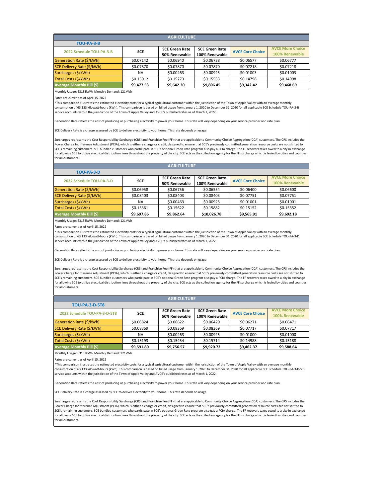Monthly Usage: 63133kWh Monthly Demand: 121kWh

Rates are current as of April 15, 2022

| <b>AGRICULTURE</b>               |            |                       |                       |                         |                         |  |  |  |
|----------------------------------|------------|-----------------------|-----------------------|-------------------------|-------------------------|--|--|--|
| TOU-PA-3-B                       |            |                       |                       |                         |                         |  |  |  |
| 2022 Schedule TOU-PA-3-B         | <b>SCE</b> | <b>SCE Green Rate</b> | <b>SCE Green Rate</b> | <b>AVCE Core Choice</b> | <b>AVCE More Choice</b> |  |  |  |
|                                  |            | 50% Renewable         | 100% Renewable        |                         | 100% Renewable          |  |  |  |
| Generation Rate (\$/kWh)         | \$0.07142  | \$0.06940             | \$0.06738             | \$0.06577               | \$0.06777               |  |  |  |
| SCE Delivery Rate (\$/kWh)       | \$0.07870  | \$0.07870             | \$0.07870             | \$0.07218               | \$0.07218               |  |  |  |
| Surcharges (\$/kWh)              | NA         | \$0.00463             | \$0.00925             | \$0.01003               | \$0.01003               |  |  |  |
| Total Costs (\$/kWh)             | \$0.15012  | \$0.15273             | \$0.15533             | \$0.14798               | \$0.14998               |  |  |  |
| <b>Average Monthly Bill (\$)</b> | \$9,477.53 | \$9,642.30            | \$9,806.45            | \$9,342.42              | \$9,468.69              |  |  |  |

Monthly Usage: 63133kWh Monthly Demand: 121kWh

Rates are current as of April 15, 2022

Monthly Usage: 63133kWh Monthly Demand: 121kWh

Rates are current as of April 15, 2022

| <b>AGRICULTURE</b>                |            |                       |                       |                         |                         |  |  |  |
|-----------------------------------|------------|-----------------------|-----------------------|-------------------------|-------------------------|--|--|--|
| TOU-PA-3-D                        |            |                       |                       |                         |                         |  |  |  |
| 2022 Schedule TOU-PA-3-D          | <b>SCE</b> | <b>SCE Green Rate</b> | <b>SCE Green Rate</b> | <b>AVCE Core Choice</b> | <b>AVCE More Choice</b> |  |  |  |
|                                   |            | 50% Renewable         | 100% Renewable        |                         | 100% Renewable          |  |  |  |
| Generation Rate (\$/kWh)          | \$0.06958  | \$0.06756             | \$0.06554             | \$0.06400               | \$0.06600               |  |  |  |
| <b>SCE Delivery Rate (\$/kWh)</b> | \$0.08403  | \$0.08403             | \$0.08403             | \$0.07751               | \$0.07751               |  |  |  |
| Surcharges (\$/kWh)               | <b>NA</b>  | \$0.00463             | \$0.00925             | \$0.01001               | \$0.01001               |  |  |  |
| Total Costs (\$/kWh)              | \$0.15361  | \$0.15622             | \$0.15882             | \$0.15152               | \$0.15352               |  |  |  |
| <b>Average Monthly Bill (\$)</b>  | \$9,697.86 | \$9,862.64            | \$10,026.78           | \$9,565.91              | \$9,692.18              |  |  |  |

\*This comparison illustrates the estimated electricity costs for a typical agricultural customer within the jurisdiction of the Town of Apple Valley with an average monthly consumption of 63,133 kilowatt-hours (kWh). This comparison is based on billed usage from January 1, 2020 to December 31, 2020 for all applicable SCE Schedule TOU-PA-3-B service accounts within the jurisdiction of the Town of Apple Valley and AVCE's published rates as of March 1, 2022.

Generation Rate reflects the cost of producing or purchasing electricity to power your home. This rate will vary depending on your service provider and rate plan.

SCE Delivery Rate is a charge assessed by SCE to deliver electricity to your home. This rate depends on usage.

Surcharges represents the Cost Responsibility Surcharge (CRS) and Franchise Fee (FF) that are applicable to Community Choice Aggregation (CCA) customers. The CRS includes the Power Charge Indifference Adjustment (PCIA), which is either a charge or credit, designed to ensure that SCE's previously committed generation resource costs are not shifted to SCE's remaining customers. SCE bundled customers who participate in SCE's optional Green Rate program also pay a PCIA charge. The FF recovers taxes owed to a city in exchange for allowing SCE to utilize electrical distribution lines throughout the property of the city. SCE acts as the collection agency for the FF surcharge which is levied by cities and counties for all customers.

| <b>AGRICULTURE</b>               |            |                       |                       |                         |                         |  |  |  |  |
|----------------------------------|------------|-----------------------|-----------------------|-------------------------|-------------------------|--|--|--|--|
| <b>TOU-PA-3-D-5T8</b>            |            |                       |                       |                         |                         |  |  |  |  |
| 2022 Schedule TOU-PA-3-D-5T8     | <b>SCE</b> | <b>SCE Green Rate</b> | <b>SCE Green Rate</b> | <b>AVCE Core Choice</b> | <b>AVCE More Choice</b> |  |  |  |  |
|                                  |            | 50% Renewable         | 100% Renewable        |                         | 100% Renewable          |  |  |  |  |
| Generation Rate (\$/kWh)         | \$0.06824  | \$0.06622             | \$0.06420             | \$0.06271               | \$0.06471               |  |  |  |  |
| SCE Delivery Rate (\$/kWh)       | \$0.08369  | \$0.08369             | \$0.08369             | \$0.07717               | \$0.07717               |  |  |  |  |
| Surcharges (\$/kWh)              | <b>NA</b>  | \$0.00463             | \$0.00925             | \$0.01000               | \$0.01000               |  |  |  |  |
| Total Costs (\$/kWh)             | \$0.15193  | \$0.15454             | \$0.15714             | \$0.14988               | \$0.15188               |  |  |  |  |
| <b>Average Monthly Bill (\$)</b> | \$9,591.80 | \$9,756.57            | \$9,920.72            | \$9,462.37              | \$9,588.64              |  |  |  |  |

\*This comparison illustrates the estimated electricity costs for a typical agricultural customer within the jurisdiction of the Town of Apple Valley with an average monthly consumption of 63,133 kilowatt-hours (kWh). This comparison is based on billed usage from January 1, 2020 to December 31, 2020 for all applicable SCE Schedule TOU-PA-3-D service accounts within the jurisdiction of the Town of Apple Valley and AVCE's published rates as of March 1, 2022.

Generation Rate reflects the cost of producing or purchasing electricity to power your home. This rate will vary depending on your service provider and rate plan.

SCE Delivery Rate is a charge assessed by SCE to deliver electricity to your home. This rate depends on usage.

Surcharges represents the Cost Responsibility Surcharge (CRS) and Franchise Fee (FF) that are applicable to Community Choice Aggregation (CCA) customers. The CRS includes the Power Charge Indifference Adjustment (PCIA), which is either a charge or credit, designed to ensure that SCE's previously committed generation resource costs are not shifted to SCE's remaining customers. SCE bundled customers who participate in SCE's optional Green Rate program also pay a PCIA charge. The FF recovers taxes owed to a city in exchange for allowing SCE to utilize electrical distribution lines throughout the property of the city. SCE acts as the collection agency for the FF surcharge which is levied by cities and counties for all customers.

\*This comparison illustrates the estimated electricity costs for a typical agricultural customer within the jurisdiction of the Town of Apple Valley with an average monthly consumption of 63,133 kilowatt-hours (kWh). This comparison is based on billed usage from January 1, 2020 to December 31, 2020 for all applicable SCE Schedule TOU-PA-3-D-5T8 service accounts within the jurisdiction of the Town of Apple Valley and AVCE's published rates as of March 1, 2022.

Generation Rate reflects the cost of producing or purchasing electricity to power your home. This rate will vary depending on your service provider and rate plan.

SCE Delivery Rate is a charge assessed by SCE to deliver electricity to your home. This rate depends on usage.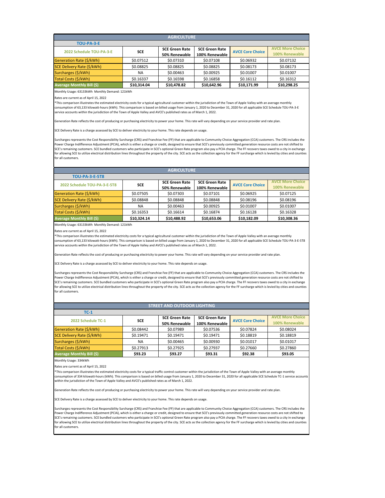Monthly Usage: 63133kWh Monthly Demand: 121kWh

Rates are current as of April 15, 2022

| <b>AGRICULTURE</b>               |             |                       |                       |                         |                         |  |  |  |
|----------------------------------|-------------|-----------------------|-----------------------|-------------------------|-------------------------|--|--|--|
| <b>TOU-PA-3-E</b>                |             |                       |                       |                         |                         |  |  |  |
| 2022 Schedule TOU-PA-3-E         | <b>SCE</b>  | <b>SCE Green Rate</b> | <b>SCE Green Rate</b> | <b>AVCE Core Choice</b> | <b>AVCE More Choice</b> |  |  |  |
|                                  |             | 50% Renewable         | 100% Renewable        |                         | 100% Renewable          |  |  |  |
| Generation Rate (\$/kWh)         | \$0.07512   | \$0.07310             | \$0.07108             | \$0.06932               | \$0.07132               |  |  |  |
| SCE Delivery Rate (\$/kWh)       | \$0.08825   | \$0.08825             | \$0.08825             | \$0.08173               | \$0.08173               |  |  |  |
| Surcharges (\$/kWh)              | <b>NA</b>   | \$0.00463             | \$0.00925             | \$0.01007               | \$0.01007               |  |  |  |
| Total Costs (\$/kWh)             | \$0.16337   | \$0.16598             | \$0.16858             | \$0.16112               | \$0.16312               |  |  |  |
| <b>Average Monthly Bill (\$)</b> | \$10,314.04 | \$10,478.82           | \$10,642.96           | \$10,171.99             | \$10,298.25             |  |  |  |

Monthly Usage: 63133kWh Monthly Demand: 121kWh

Rates are current as of April 15, 2022

Monthly Usage: 334kWh

Rates are current as of April 15, 2022

| <b>AGRICULTURE</b>               |             |                       |                       |                         |                         |  |  |
|----------------------------------|-------------|-----------------------|-----------------------|-------------------------|-------------------------|--|--|
| <b>TOU-PA-3-E-5T8</b>            |             |                       |                       |                         |                         |  |  |
| 2022 Schedule TOU-PA-3-E-5T8     | <b>SCE</b>  | <b>SCE Green Rate</b> | <b>SCE Green Rate</b> | <b>AVCE Core Choice</b> | <b>AVCE More Choice</b> |  |  |
|                                  |             | 50% Renewable         | 100% Renewable        |                         | 100% Renewable          |  |  |
| Generation Rate (\$/kWh)         | \$0.07505   | \$0.07303             | \$0.07101             | \$0.06925               | \$0.07125               |  |  |
| SCE Delivery Rate (\$/kWh)       | \$0.08848   | \$0.08848             | \$0.08848             | \$0.08196               | \$0.08196               |  |  |
| Surcharges (\$/kWh)              | <b>NA</b>   | \$0.00463             | \$0.00925             | \$0.01007               | \$0.01007               |  |  |
| Total Costs (\$/kWh)             | \$0.16353   | \$0.16614             | \$0.16874             | \$0.16128               | \$0.16328               |  |  |
| <b>Average Monthly Bill (\$)</b> | \$10,324.14 | \$10,488.92           | \$10,653.06           | \$10,182.09             | \$10,308.36             |  |  |

\*This comparison illustrates the estimated electricity costs for a typical agricultural customer within the jurisdiction of the Town of Apple Valley with an average monthly consumption of 63,133 kilowatt-hours (kWh). This comparison is based on billed usage from January 1, 2020 to December 31, 2020 for all applicable SCE Schedule TOU-PA-3-E service accounts within the jurisdiction of the Town of Apple Valley and AVCE's published rates as of March 1, 2022.

Generation Rate reflects the cost of producing or purchasing electricity to power your home. This rate will vary depending on your service provider and rate plan.

SCE Delivery Rate is a charge assessed by SCE to deliver electricity to your home. This rate depends on usage.

Surcharges represents the Cost Responsibility Surcharge (CRS) and Franchise Fee (FF) that are applicable to Community Choice Aggregation (CCA) customers. The CRS includes the Power Charge Indifference Adjustment (PCIA), which is either a charge or credit, designed to ensure that SCE's previously committed generation resource costs are not shifted to SCE's remaining customers. SCE bundled customers who participate in SCE's optional Green Rate program also pay a PCIA charge. The FF recovers taxes owed to a city in exchange for allowing SCE to utilize electrical distribution lines throughout the property of the city. SCE acts as the collection agency for the FF surcharge which is levied by cities and counties for all customers.

| <b>STREET AND OUTDOOR LIGHTING</b> |            |                       |                       |                         |                         |  |  |
|------------------------------------|------------|-----------------------|-----------------------|-------------------------|-------------------------|--|--|
| $TC-1$                             |            |                       |                       |                         |                         |  |  |
| 2022 Schedule TC-1                 | <b>SCE</b> | <b>SCE Green Rate</b> | <b>SCE Green Rate</b> | <b>AVCE Core Choice</b> | <b>AVCE More Choice</b> |  |  |
|                                    |            | 50% Renewable         | 100% Renewable        |                         | 100% Renewable          |  |  |
| Generation Rate (\$/kWh)           | \$0.08442  | \$0.07989             | \$0.07536             | \$0.07824               | \$0.08024               |  |  |
| SCE Delivery Rate (\$/kWh)         | \$0.19471  | \$0.19471             | \$0.19471             | \$0.18819               | \$0.18819               |  |  |
| Surcharges (\$/kWh)                | <b>NA</b>  | \$0.00465             | \$0.00930             | \$0.01017               | \$0.01017               |  |  |
| Total Costs (\$/kWh)               | \$0.27913  | \$0.27925             | \$0.27937             | \$0.27660               | \$0.27860               |  |  |
| Average Monthly Bill (\$)          | \$93.23    | \$93.27               | \$93.31               | \$92.38                 | \$93.05                 |  |  |
|                                    |            |                       |                       |                         |                         |  |  |

\*This comparison illustrates the estimated electricity costs for a typical agricultural customer within the jurisdiction of the Town of Apple Valley with an average monthly consumption of 63,133 kilowatt-hours (kWh). This comparison is based on billed usage from January 1, 2020 to December 31, 2020 for all applicable SCE Schedule TOU-PA-3-E-5T8 service accounts within the jurisdiction of the Town of Apple Valley and AVCE's published rates as of March 1, 2022.

Generation Rate reflects the cost of producing or purchasing electricity to power your home. This rate will vary depending on your service provider and rate plan.

SCE Delivery Rate is a charge assessed by SCE to deliver electricity to your home. This rate depends on usage.

Surcharges represents the Cost Responsibility Surcharge (CRS) and Franchise Fee (FF) that are applicable to Community Choice Aggregation (CCA) customers. The CRS includes the Power Charge Indifference Adjustment (PCIA), which is either a charge or credit, designed to ensure that SCE's previously committed generation resource costs are not shifted to SCE's remaining customers. SCE bundled customers who participate in SCE's optional Green Rate program also pay a PCIA charge. The FF recovers taxes owed to a city in exchange for allowing SCE to utilize electrical distribution lines throughout the property of the city. SCE acts as the collection agency for the FF surcharge which is levied by cities and counties for all customers.

\*This comparison illustrates the estimated electricity costs for a typical traffic control customer within the jurisdiction of the Town of Apple Valley with an average monthly consumption of 334 kilowatt-hours (kWh). This comparison is based on billed usage from January 1, 2020 to December 31, 2020 for all applicable SCE Schedule TC-1 service accounts within the jurisdiction of the Town of Apple Valley and AVCE's published rates as of March 1, 2022.

eneration Rate reflects the cost of producing or purchasing electricity to power your home. This rate will vary depending on your service provider and rate plan.

SCE Delivery Rate is a charge assessed by SCE to deliver electricity to your home. This rate depends on usage.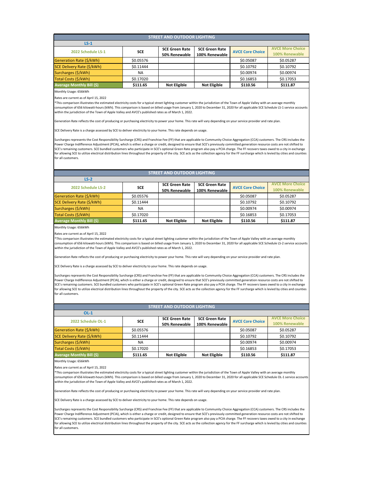Rates are current as of April 15, 2022

**LS-2**

| LS-Z                             |            |                       |                       |                         |                         |
|----------------------------------|------------|-----------------------|-----------------------|-------------------------|-------------------------|
| 2022 Schedule LS-2               | <b>SCE</b> | <b>SCE Green Rate</b> | <b>SCE Green Rate</b> | <b>AVCE Core Choice</b> | <b>AVCE More Choice</b> |
|                                  |            | 50% Renewable         | 100% Renewable        |                         | 100% Renewable          |
| Generation Rate (\$/kWh)         | \$0.05576  |                       |                       | \$0.05087               | \$0.05287               |
| SCE Delivery Rate (\$/kWh)       | \$0.11444  |                       |                       | \$0.10792               | \$0.10792               |
| Surcharges (\$/kWh)              | <b>NA</b>  |                       |                       | \$0.00974               | \$0.00974               |
| Total Costs (\$/kWh)             | \$0.17020  |                       |                       | \$0.16853               | \$0.17053               |
| <b>Average Monthly Bill (\$)</b> | \$111.65   | <b>Not Eligible</b>   | <b>Not Eligible</b>   | \$110.56                | \$111.87                |

| <b>STREET AND OUTDOOR LIGHTING</b> |            |                       |                       |                         |                         |  |  |
|------------------------------------|------------|-----------------------|-----------------------|-------------------------|-------------------------|--|--|
| $LS-1$                             |            |                       |                       |                         |                         |  |  |
| 2022 Schedule LS-1                 | <b>SCE</b> | <b>SCE Green Rate</b> | <b>SCE Green Rate</b> | <b>AVCE Core Choice</b> | <b>AVCE More Choice</b> |  |  |
|                                    |            | 50% Renewable         | 100% Renewable        |                         | 100% Renewable          |  |  |
| Generation Rate (\$/kWh)           | \$0.05576  |                       |                       | \$0.05087               | \$0.05287               |  |  |
| SCE Delivery Rate (\$/kWh)         | \$0.11444  |                       |                       | \$0.10792               | \$0.10792               |  |  |
| Surcharges (\$/kWh)                | <b>NA</b>  |                       |                       | \$0.00974               | \$0.00974               |  |  |
| Total Costs (\$/kWh)               | \$0.17020  |                       |                       | \$0.16853               | \$0.17053               |  |  |
| <b>Average Monthly Bill (\$)</b>   | \$111.65   | <b>Not Eligible</b>   | <b>Not Eligible</b>   | \$110.56                | \$111.87                |  |  |

Monthly Usage: 656kWh

Rates are current as of April 15, 2022

Rates are current as of April 15, 2022

\*This comparison illustrates the estimated electricity costs for a typical street lighting customer within the jurisdiction of the Town of Apple Valley with an average monthly consumption of 656 kilowatt-hours (kWh). This comparison is based on billed usage from January 1, 2020 to December 31, 2020 for all applicable SCE Schedule LS-1 service accounts within the jurisdiction of the Town of Apple Valley and AVCE's published rates as of March 1, 2022.

Generation Rate reflects the cost of producing or purchasing electricity to power your home. This rate will vary depending on your service provider and rate plan.

SCE Delivery Rate is a charge assessed by SCE to deliver electricity to your home. This rate depends on usage.

Surcharges represents the Cost Responsibility Surcharge (CRS) and Franchise Fee (FF) that are applicable to Community Choice Aggregation (CCA) customers. The CRS includes the Power Charge Indifference Adjustment (PCIA), which is either a charge or credit, designed to ensure that SCE's previously committed generation resource costs are not shifted to SCE's remaining customers. SCE bundled customers who participate in SCE's optional Green Rate program also pay a PCIA charge. The FF recovers taxes owed to a city in exchange for allowing SCE to utilize electrical distribution lines throughout the property of the city. SCE acts as the collection agency for the FF surcharge which is levied by cities and counties for all customers.

| <b>STREET AND OUTDOOR LIGHTING</b> |            |                       |                       |                         |                         |  |  |
|------------------------------------|------------|-----------------------|-----------------------|-------------------------|-------------------------|--|--|
| $OL-1$                             |            |                       |                       |                         |                         |  |  |
| 2022 Schedule OL-1                 | <b>SCE</b> | <b>SCE Green Rate</b> | <b>SCE Green Rate</b> | <b>AVCE Core Choice</b> | <b>AVCE More Choice</b> |  |  |
|                                    |            | 50% Renewable         | 100% Renewable        |                         | 100% Renewable          |  |  |
| Generation Rate (\$/kWh)           | \$0.05576  |                       |                       | \$0.05087               | \$0.05287               |  |  |
| SCE Delivery Rate (\$/kWh)         | \$0.11444  |                       |                       | \$0.10792               | \$0.10792               |  |  |
| Surcharges (\$/kWh)                | <b>NA</b>  |                       |                       | \$0.00974               | \$0.00974               |  |  |
| Total Costs (\$/kWh)               | \$0.17020  |                       |                       | \$0.16853               | \$0.17053               |  |  |
| <b>Average Monthly Bill (\$)</b>   | \$111.65   | <b>Not Eligible</b>   | <b>Not Eligible</b>   | \$110.56                | \$111.87                |  |  |
| Monthly Usage: 656kWh              |            |                       |                       |                         |                         |  |  |

## **STREET AND OUTDOOR LIGHTING**

\*This comparison illustrates the estimated electricity costs for a typical street lighting customer within the jurisdiction of the Town of Apple Valley with an average monthly consumption of 656 kilowatt-hours (kWh). This comparison is based on billed usage from January 1, 2020 to December 31, 2020 for all applicable SCE Schedule LS-2 service accounts within the jurisdiction of the Town of Apple Valley and AVCE's published rates as of March 1, 2022.

Generation Rate reflects the cost of producing or purchasing electricity to power your home. This rate will vary depending on your service provider and rate plan.

SCE Delivery Rate is a charge assessed by SCE to deliver electricity to your home. This rate depends on usage.

Surcharges represents the Cost Responsibility Surcharge (CRS) and Franchise Fee (FF) that are applicable to Community Choice Aggregation (CCA) customers. The CRS includes the Power Charge Indifference Adjustment (PCIA), which is either a charge or credit, designed to ensure that SCE's previously committed generation resource costs are not shifted to SCE's remaining customers. SCE bundled customers who participate in SCE's optional Green Rate program also pay a PCIA charge. The FF recovers taxes owed to a city in exchange for allowing SCE to utilize electrical distribution lines throughout the property of the city. SCE acts as the collection agency for the FF surcharge which is levied by cities and counties for all customers.

\*This comparison illustrates the estimated electricity costs for a typical street lighting customer within the jurisdiction of the Town of Apple Valley with an average monthly consumption of 656 kilowatt-hours (kWh). This comparison is based on billed usage from January 1, 2020 to December 31, 2020 for all applicable SCE Schedule OL-1 service accounts within the jurisdiction of the Town of Apple Valley and AVCE's published rates as of March 1, 2022.

Generation Rate reflects the cost of producing or purchasing electricity to power your home. This rate will vary depending on your service provider and rate plan.

SCE Delivery Rate is a charge assessed by SCE to deliver electricity to your home. This rate depends on usage.